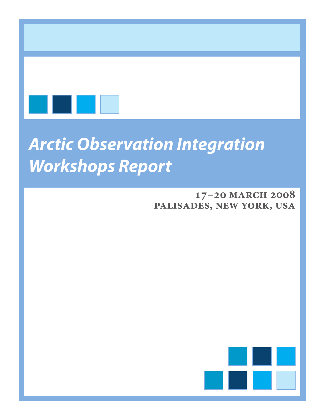

# *Arctic Observation Integration Workshops Report*

### **17–20 march 2008 palisades, new york, usa**

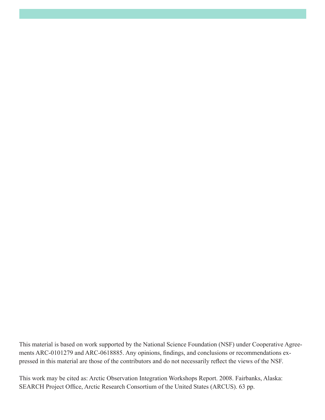This material is based on work supported by the National Science Foundation (NSF) under Cooperative Agreements ARC-0101279 and ARC-0618885. Any opinions, findings, and conclusions or recommendations expressed in this material are those of the contributors and do not necessarily reflect the views of the NSF.

This work may be cited as: Arctic Observation Integration Workshops Report. 2008. Fairbanks, Alaska: SEARCH Project Office, Arctic Research Consortium of the United States (ARCUS). 63 pp.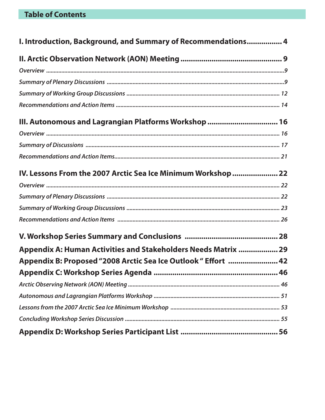| I. Introduction, Background, and Summary of Recommendations 4  |  |  |
|----------------------------------------------------------------|--|--|
|                                                                |  |  |
|                                                                |  |  |
|                                                                |  |  |
|                                                                |  |  |
|                                                                |  |  |
| III. Autonomous and Lagrangian Platforms Workshop  16          |  |  |
|                                                                |  |  |
|                                                                |  |  |
|                                                                |  |  |
| IV. Lessons From the 2007 Arctic Sea Ice Minimum Workshop  22  |  |  |
|                                                                |  |  |
|                                                                |  |  |
|                                                                |  |  |
|                                                                |  |  |
|                                                                |  |  |
| Appendix A: Human Activities and Stakeholders Needs Matrix  29 |  |  |
| Appendix B: Proposed "2008 Arctic Sea Ice Outlook " Effort  42 |  |  |
|                                                                |  |  |
|                                                                |  |  |
|                                                                |  |  |
|                                                                |  |  |
|                                                                |  |  |
|                                                                |  |  |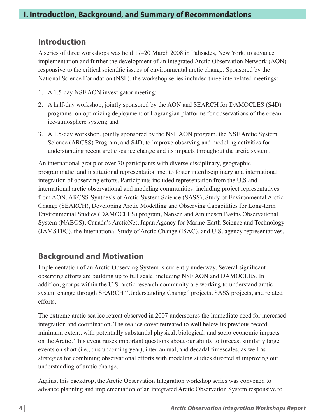### **Introduction**

A series of three workshops was held 17–20 March 2008 in Palisades, New York, to advance implementation and further the development of an integrated Arctic Observation Network (AON) responsive to the critical scientific issues of environmental arctic change. Sponsored by the National Science Foundation (NSF), the workshop series included three interrelated meetings:

- 1. A 1.5-day NSF AON investigator meeting;
- 2. A half-day workshop, jointly sponsored by the AON and SEARCH for DAMOCLES (S4D) programs, on optimizing deployment of Lagrangian platforms for observations of the oceanice-atmosphere system; and
- 3. A 1.5-day workshop, jointly sponsored by the NSF AON program, the NSF Arctic System Science (ARCSS) Program, and S4D, to improve observing and modeling activities for understanding recent arctic sea ice change and its impacts throughout the arctic system.

An international group of over 70 participants with diverse disciplinary, geographic, programmatic, and institutional representation met to foster interdisciplinary and international integration of observing efforts. Participants included representation from the U.S and international arctic observational and modeling communities, including project representatives from AON, ARCSS-Synthesis of Arctic System Science (SASS), Study of Environmental Arctic Change (SEARCH), Developing Arctic Modelling and Observing Capabilities for Long-term Environmental Studies (DAMOCLES) program, Nansen and Amundsen Basins Observational System (NABOS), Canada's ArcticNet, Japan Agency for Marine-Earth Science and Technology (JAMSTEC), the International Study of Arctic Change (ISAC), and U.S. agency representatives.

### **Background and Motivation**

Implementation of an Arctic Observing System is currently underway. Several significant observing efforts are building up to full scale, including NSF AON and DAMOCLES. In addition, groups within the U.S. arctic research community are working to understand arctic system change through SEARCH "Understanding Change" projects, SASS projects, and related efforts.

The extreme arctic sea ice retreat observed in 2007 underscores the immediate need for increased integration and coordination. The sea-ice cover retreated to well below its previous record minimum extent, with potentially substantial physical, biological, and socio-economic impacts on the Arctic. This event raises important questions about our ability to forecast similarly large events on short (i.e., this upcoming year), inter-annual, and decadal timescales, as well as strategies for combining observational efforts with modeling studies directed at improving our understanding of arctic change.

Against this backdrop, the Arctic Observation Integration workshop series was convened to advance planning and implementation of an integrated Arctic Observation System responsive to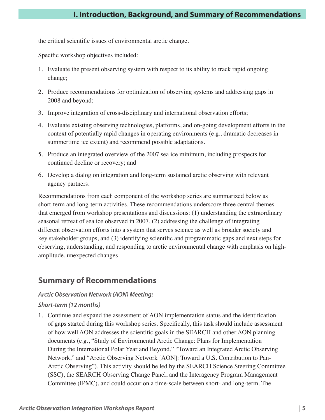the critical scientific issues of environmental arctic change.

Specific workshop objectives included:

- 1. Evaluate the present observing system with respect to its ability to track rapid ongoing change;
- 2. Produce recommendations for optimization of observing systems and addressing gaps in 2008 and beyond;
- 3. Improve integration of cross-disciplinary and international observation efforts;
- 4. Evaluate existing observing technologies, platforms, and on-going development efforts in the context of potentially rapid changes in operating environments (e.g., dramatic decreases in summertime ice extent) and recommend possible adaptations.
- 5. Produce an integrated overview of the 2007 sea ice minimum, including prospects for continued decline or recovery; and
- 6. Develop a dialog on integration and long-term sustained arctic observing with relevant agency partners.

Recommendations from each component of the workshop series are summarized below as short-term and long-term activities. These recommendations underscore three central themes that emerged from workshop presentations and discussions: (1) understanding the extraordinary seasonal retreat of sea ice observed in 2007, (2) addressing the challenge of integrating different observation efforts into a system that serves science as well as broader society and key stakeholder groups, and (3) identifying scientific and programmatic gaps and next steps for observing, understanding, and responding to arctic environmental change with emphasis on highamplitude, unexpected changes.

### **Summary of Recommendations**

### *Arctic Observation Network (AON) Meeting:*

### *Short-term (12 months)*

1. Continue and expand the assessment of AON implementation status and the identification of gaps started during this workshop series. Specifically, this task should include assessment of how well AON addresses the scientific goals in the SEARCH and other AON planning documents (e.g., "Study of Environmental Arctic Change: Plans for Implementation During the International Polar Year and Beyond," "Toward an Integrated Arctic Observing Network," and "Arctic Observing Network [AON]: Toward a U.S. Contribution to Pan-Arctic Observing"). This activity should be led by the SEARCH Science Steering Committee (SSC), the SEARCH Observing Change Panel, and the Interagency Program Management Committee (IPMC), and could occur on a time-scale between short- and long-term. The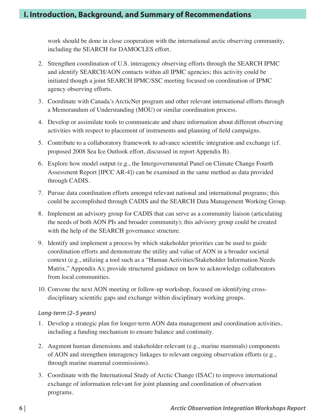work should be done in close cooperation with the international arctic observing community, including the SEARCH for DAMOCLES effort.

- 2. Strengthen coordination of U.S. interagency observing efforts through the SEARCH IPMC and identify SEARCH/AON contacts within all IPMC agencies; this activity could be initiated though a joint SEARCH IPMC/SSC meeting focused on coordination of IPMC agency observing efforts.
- 3. Coordinate with Canada's ArcticNet program and other relevant international efforts through a Memorandum of Understanding (MOU) or similar coordination process.
- 4. Develop or assimilate tools to communicate and share information about different observing activities with respect to placement of instruments and planning of field campaigns.
- 5. Contribute to a collaboratory framework to advance scientific integration and exchange (cf. proposed 2008 Sea Ice Outlook effort, discussed in report Appendix B).
- 6. Explore how model output (e.g., the Intergovernmental Panel on Climate Change Fourth Assessment Report [IPCC AR-4]) can be examined in the same method as data provided through CADIS.
- 7. Pursue data coordination efforts amongst relevant national and international programs; this could be accomplished through CADIS and the SEARCH Data Management Working Group.
- 8. Implement an advisory group for CADIS that can serve as a community liaison (articulating the needs of both AON PIs and broader community); this advisory group could be created with the help of the SEARCH governance structure.
- 9. Identify and implement a process by which stakeholder priorities can be used to guide coordination efforts and demonstrate the utility and value of AON in a broader societal context (e.g., utilizing a tool such as a "Human Activities/Stakeholder Information Needs Matrix," Appendix A); provide structured guidance on how to acknowledge collaborators from local communities.
- 10. Convene the next AON meeting or follow-up workshop, focused on identifying crossdisciplinary scientific gaps and exchange within disciplinary working groups.

### *Long-term (2–5 years)*

- 1. Develop a strategic plan for longer-term AON data management and coordination activities, including a funding mechanism to ensure balance and continuity.
- 2. Augment human dimensions and stakeholder-relevant (e.g., marine mammals) components of AON and strengthen interagency linkages to relevant ongoing observation efforts (e.g., through marine mammal commissions).
- 3. Coordinate with the International Study of Arctic Change (ISAC) to improve international exchange of information relevant for joint planning and coordination of observation programs.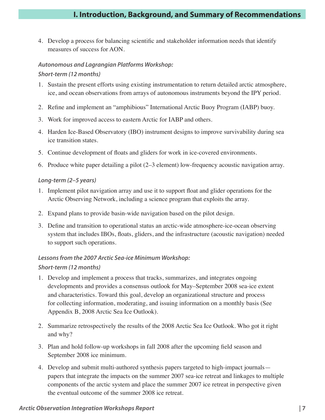4. Develop a process for balancing scientific and stakeholder information needs that identify measures of success for AON.

### *Autonomous and Lagrangian Platforms Workshop:*

### *Short-term (12 months)*

- 1. Sustain the present efforts using existing instrumentation to return detailed arctic atmosphere, ice, and ocean observations from arrays of autonomous instruments beyond the IPY period.
- 2. Refine and implement an "amphibious" International Arctic Buoy Program (IABP) buoy.
- 3. Work for improved access to eastern Arctic for IABP and others.
- 4. Harden Ice-Based Observatory (IBO) instrument designs to improve survivability during sea ice transition states.
- 5. Continue development of floats and gliders for work in ice-covered environments.
- 6. Produce white paper detailing a pilot (2–3 element) low-frequency acoustic navigation array.

### *Long-term (2–5 years)*

- 1. Implement pilot navigation array and use it to support float and glider operations for the Arctic Observing Network, including a science program that exploits the array.
- 2. Expand plans to provide basin-wide navigation based on the pilot design.
- 3. Define and transition to operational status an arctic-wide atmosphere-ice-ocean observing system that includes IBOs, floats, gliders, and the infrastructure (acoustic navigation) needed to support such operations.

### *Lessons from the 2007 Arctic Sea-ice Minimum Workshop:*

### *Short-term (12 months)*

- 1. Develop and implement a process that tracks, summarizes, and integrates ongoing developments and provides a consensus outlook for May–September 2008 sea-ice extent and characteristics. Toward this goal, develop an organizational structure and process for collecting information, moderating, and issuing information on a monthly basis (See Appendix B, 2008 Arctic Sea Ice Outlook).
- 2. Summarize retrospectively the results of the 2008 Arctic Sea Ice Outlook. Who got it right and why?
- 3. Plan and hold follow-up workshops in fall 2008 after the upcoming field season and September 2008 ice minimum.
- 4. Develop and submit multi-authored synthesis papers targeted to high-impact journals papers that integrate the impacts on the summer 2007 sea-ice retreat and linkages to multiple components of the arctic system and place the summer 2007 ice retreat in perspective given the eventual outcome of the summer 2008 ice retreat.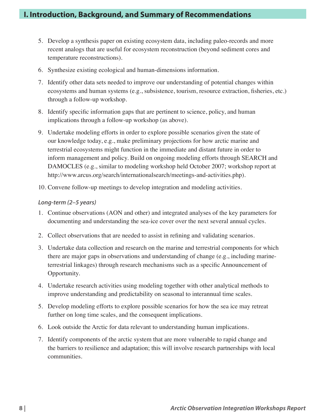- 5. Develop a synthesis paper on existing ecosystem data, including paleo-records and more recent analogs that are useful for ecosystem reconstruction (beyond sediment cores and temperature reconstructions).
- 6. Synthesize existing ecological and human-dimensions information.
- 7. Identify other data sets needed to improve our understanding of potential changes within ecosystems and human systems (e.g., subsistence, tourism, resource extraction, fisheries, etc.) through a follow-up workshop.
- 8. Identify specific information gaps that are pertinent to science, policy, and human implications through a follow-up workshop (as above).
- 9. Undertake modeling efforts in order to explore possible scenarios given the state of our knowledge today, e.g., make preliminary projections for how arctic marine and terrestrial ecosystems might function in the immediate and distant future in order to inform management and policy. Build on ongoing modeling efforts through SEARCH and DAMOCLES (e.g., similar to modeling workshop held October 2007; workshop report at http://www.arcus.org/search/internationalsearch/meetings-and-activities.php).
- 10. Convene follow-up meetings to develop integration and modeling activities.

#### *Long-term (2–5 years)*

- 1. Continue observations (AON and other) and integrated analyses of the key parameters for documenting and understanding the sea-ice cover over the next several annual cycles.
- 2. Collect observations that are needed to assist in refining and validating scenarios.
- 3. Undertake data collection and research on the marine and terrestrial components for which there are major gaps in observations and understanding of change (e.g., including marineterrestrial linkages) through research mechanisms such as a specific Announcement of Opportunity.
- 4. Undertake research activities using modeling together with other analytical methods to improve understanding and predictability on seasonal to interannual time scales.
- 5. Develop modeling efforts to explore possible scenarios for how the sea ice may retreat further on long time scales, and the consequent implications.
- 6. Look outside the Arctic for data relevant to understanding human implications.
- 7. Identify components of the arctic system that are more vulnerable to rapid change and the barriers to resilience and adaptation; this will involve research partnerships with local communities.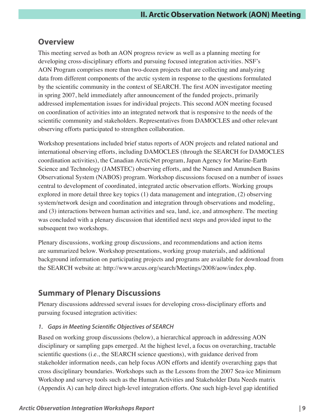### **Overview**

This meeting served as both an AON progress review as well as a planning meeting for developing cross-disciplinary efforts and pursuing focused integration activities. NSF's AON Program comprises more than two-dozen projects that are collecting and analyzing data from different components of the arctic system in response to the questions formulated by the scientific community in the context of SEARCH. The first AON investigator meeting in spring 2007, held immediately after announcement of the funded projects, primarily addressed implementation issues for individual projects. This second AON meeting focused on coordination of activities into an integrated network that is responsive to the needs of the scientific community and stakeholders. Representatives from DAMOCLES and other relevant observing efforts participated to strengthen collaboration.

Workshop presentations included brief status reports of AON projects and related national and international observing efforts, including DAMOCLES (through the SEARCH for DAMOCLES coordination activities), the Canadian ArcticNet program, Japan Agency for Marine-Earth Science and Technology (JAMSTEC) observing efforts, and the Nansen and Amundsen Basins Observational System (NABOS) program. Workshop discussions focused on a number of issues central to development of coordinated, integrated arctic observation efforts. Working groups explored in more detail three key topics (1) data management and integration, (2) observing system/network design and coordination and integration through observations and modeling, and (3) interactions between human activities and sea, land, ice, and atmosphere. The meeting was concluded with a plenary discussion that identified next steps and provided input to the subsequent two workshops.

Plenary discussions, working group discussions, and recommendations and action items are summarized below. Workshop presentations, working group materials, and additional background information on participating projects and programs are available for download from the SEARCH website at: http://www.arcus.org/search/Meetings/2008/aow/index.php.

### **Summary of Plenary Discussions**

Plenary discussions addressed several issues for developing cross-disciplinary efforts and pursuing focused integration activities:

### *1. Gaps in Meeting Scientific Objectives of SEARCH*

Based on working group discussions (below), a hierarchical approach in addressing AON disciplinary or sampling gaps emerged. At the highest level, a focus on overarching, tractable scientific questions (i.e., the SEARCH science questions), with guidance derived from stakeholder information needs, can help focus AON efforts and identify overarching gaps that cross disciplinary boundaries. Workshops such as the Lessons from the 2007 Sea-ice Minimum Workshop and survey tools such as the Human Activities and Stakeholder Data Needs matrix (Appendix A) can help direct high-level integration efforts. One such high-level gap identified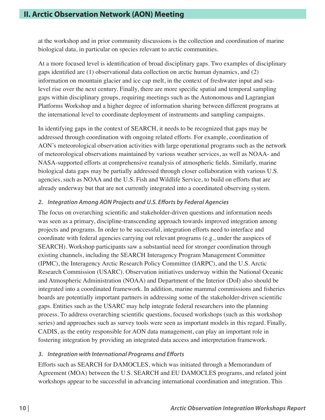at the workshop and in prior community discussions is the collection and coordination of marine biological data, in particular on species relevant to arctic communities.

At a more focused level is identification of broad disciplinary gaps. Two examples of disciplinary gaps identified are (1) observational data collection on arctic human dynamics, and (2) information on mountain glacier and ice cap melt, in the context of freshwater input and sealevel rise over the next century. Finally, there are more specific spatial and temporal sampling gaps within disciplinary groups, requiring meetings such as the Autonomous and Lagrangian Platforms Workshop and a higher degree of information sharing between different programs at the international level to coordinate deployment of instruments and sampling campaigns.

In identifying gaps in the context of SEARCH, it needs to be recognized that gaps may be addressed through coordination with ongoing related efforts. For example, coordination of AON's meteorological observation activities with large operational programs such as the network of meteorological observations maintained by various weather services, as well as NOAA- and NASA-supported efforts at comprehensive reanalysis of atmospheric fields. Similarly, marine biological data gaps may be partially addressed through closer collaboration with various U.S. agencies, such as NOAA and the U.S. Fish and Wildlife Service, to build on efforts that are already underway but that are not currently integrated into a coordinated observing system.

### *2. Integration Among AON Projects and U.S. Efforts by Federal Agencies*

The focus on overarching scientific and stakeholder-driven questions and information needs was seen as a primary, discipline-transcending approach towards improved integration among projects and programs. In order to be successful, integration efforts need to interface and coordinate with federal agencies carrying out relevant programs (e.g., under the auspices of SEARCH). Workshop participants saw a substantial need for stronger coordination through existing channels, including the SEARCH Interagency Program Management Committee (IPMC), the Interagency Arctic Research Policy Committee (IARPC), and the U.S. Arctic Research Commission (USARC). Observation initiatives underway within the National Oceanic and Atmospheric Administration (NOAA) and Department of the Interior (DoI) also should be integrated into a coordinated framework. In addition, marine mammal commissions and fisheries boards are potentially important partners in addressing some of the stakeholder-driven scientific gaps. Entities such as the USARC may help integrate federal researchers into the planning process. To address overarching scientific questions, focused workshops (such as this workshop series) and approaches such as survey tools were seen as important models in this regard. Finally, CADIS, as the entity responsible for AON data management, can play an important role in fostering integration by providing an integrated data access and interpretation framework.

### *3. Integration with International Programs and Efforts*

Efforts such as SEARCH for DAMOCLES, which was initiated through a Memorandum of Agreement (MOA) between the U.S. SEARCH and EU DAMOCLES programs, and related joint workshops appear to be successful in advancing international coordination and integration. This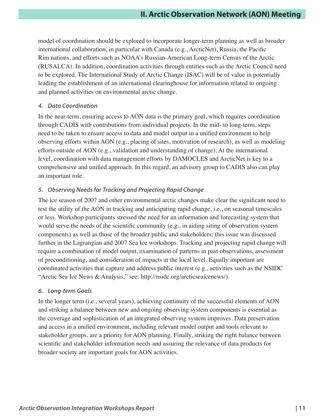model of coordination should be explored to incorporate longer-term planning as well as broader international collaboration, in particular with Canada (e.g., ArcticNet), Russia, the Pacific Rim nations, and efforts such as NOAA's Russian-American Long-term Census of the Arctic (RUSALCA). In addition, coordination activities through entities such as the Arctic Council need to be explored. The International Study of Arctic Change (ISAC) will be of value in potentially leading the establishment of an international clearinghouse for information related to ongoing and planned activities on environmental arctic change.

### *4. Data Coordination*

In the near-term, ensuring access to AON data is the primary goal, which requires coordination through CADIS with contributions from individual projects. In the mid- to long-term, steps need to be taken to ensure access to data and model output in a unified environment to help observing efforts within AON (e.g., placing of sites, motivation of research), as well as modeling efforts outside of AON (e.g., validation and understanding of change). At the international level, coordination with data management efforts by DAMOCLES and ArcticNet is key to a comprehensive and unified approach. In this regard, an advisory group to CADIS also can play an important role.

### *5. Observing Needs for Tracking and Projecting Rapid Change*

The ice season of 2007 and other environmental arctic changes make clear the significant need to test the utility of the AON in tracking and anticipating rapid change, i.e., on seasonal timescales or less. Workshop participants stressed the need for an information and forecasting system that would serve the needs of the scientific community (e.g., in aiding siting of observation system components) as well as those of the broader public and stakeholders; this issue was discussed further in the Lagrangian and 2007 Sea Ice workshops. Tracking and projecting rapid change will require a combination of model output, examination of patterns in past observations, assessment of preconditioning, and consideration of impacts at the local level. Equally important are coordinated activities that capture and address public interest (e.g., activities such as the NSIDC "Arctic Sea Ice News & Analysis," see: http://nsidc.org/arcticseaicenews/).

### *6. Long-term Goals*

In the longer term (i.e., several years), achieving continuity of the successful elements of AON and striking a balance between new and ongoing observing system components is essential as the coverage and sophistication of an integrated observing system improves. Data preservation and access in a unified environment, including relevant model output and tools relevant to stakeholder groups, are a priority for AON planning. Finally, striking the right balance between scientific and stakeholder information needs and assuring the relevance of data products for broader society are important goals for AON activities.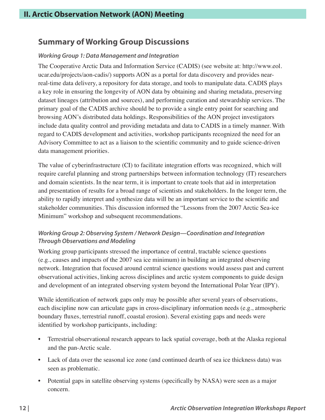### **Summary of Working Group Discussions**

### *Working Group 1: Data Management and Integration*

The Cooperative Arctic Data and Information Service (CADIS) (see website at: http://www.eol. ucar.edu/projects/aon-cadis/) supports AON as a portal for data discovery and provides nearreal-time data delivery, a repository for data storage, and tools to manipulate data. CADIS plays a key role in ensuring the longevity of AON data by obtaining and sharing metadata, preserving dataset lineages (attribution and sources), and performing curation and stewardship services. The primary goal of the CADIS archive should be to provide a single entry point for searching and browsing AON's distributed data holdings. Responsibilities of the AON project investigators include data quality control and providing metadata and data to CADIS in a timely manner. With regard to CADIS development and activities, workshop participants recognized the need for an Advisory Committee to act as a liaison to the scientific community and to guide science-driven data management priorities.

The value of cyberinfrastructure (CI) to facilitate integration efforts was recognized, which will require careful planning and strong partnerships between information technology (IT) researchers and domain scientists. In the near term, it is important to create tools that aid in interpretation and presentation of results for a broad range of scientists and stakeholders. In the longer term, the ability to rapidly interpret and synthesize data will be an important service to the scientific and stakeholder communities. This discussion informed the "Lessons from the 2007 Arctic Sea-ice Minimum" workshop and subsequent recommendations.

### *Working Group 2: Observing System / Network Design—Coordination and Integration Through Observations and Modeling*

Working group participants stressed the importance of central, tractable science questions (e.g., causes and impacts of the 2007 sea ice minimum) in building an integrated observing network. Integration that focused around central science questions would assess past and current observational activities, linking across disciplines and arctic system components to guide design and development of an integrated observing system beyond the International Polar Year (IPY).

While identification of network gaps only may be possible after several years of observations, each discipline now can articulate gaps in cross-disciplinary information needs (e.g., atmospheric boundary fluxes, terrestrial runoff, coastal erosion). Several existing gaps and needs were identified by workshop participants, including:

- Terrestrial observational research appears to lack spatial coverage, both at the Alaska regional and the pan-Arctic scale.
- Lack of data over the seasonal ice zone (and continued dearth of sea ice thickness data) was seen as problematic.
- Potential gaps in satellite observing systems (specifically by NASA) were seen as a major concern.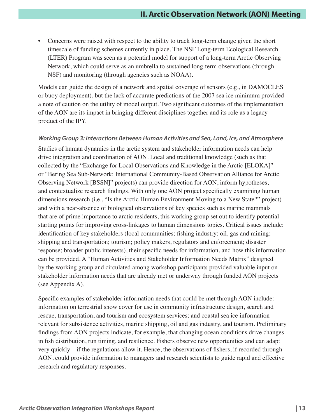• Concerns were raised with respect to the ability to track long-term change given the short timescale of funding schemes currently in place. The NSF Long-term Ecological Research (LTER) Program was seen as a potential model for support of a long-term Arctic Observing Network, which could serve as an umbrella to sustained long-term observations (through NSF) and monitoring (through agencies such as NOAA).

Models can guide the design of a network and spatial coverage of sensors (e.g., in DAMOCLES or buoy deployment), but the lack of accurate predictions of the 2007 sea ice minimum provided a note of caution on the utility of model output. Two significant outcomes of the implementation of the AON are its impact in bringing different disciplines together and its role as a legacy product of the IPY.

#### *Working Group 3: Interactions Between Human Activities and Sea, Land, Ice, and Atmosphere*

Studies of human dynamics in the arctic system and stakeholder information needs can help drive integration and coordination of AON. Local and traditional knowledge (such as that collected by the "Exchange for Local Observations and Knowledge in the Arctic [ELOKA]" or "Bering Sea Sub-Network: International Community-Based Observation Alliance for Arctic Observing Network [BSSN]" projects) can provide direction for AON, inform hypotheses, and contextualize research findings. With only one AON project specifically examining human dimensions research (i.e., "Is the Arctic Human Environment Moving to a New State?" project) and with a near-absence of biological observations of key species such as marine mammals that are of prime importance to arctic residents, this working group set out to identify potential starting points for improving cross-linkages to human dimensions topics. Critical issues include: identification of key stakeholders (local communities; fishing industry; oil, gas and mining; shipping and transportation; tourism; policy makers, regulators and enforcement; disaster response; broader public interests), their specific needs for information, and how this information can be provided. A "Human Activities and Stakeholder Information Needs Matrix" designed by the working group and circulated among workshop participants provided valuable input on stakeholder information needs that are already met or underway through funded AON projects (see Appendix A).

Specific examples of stakeholder information needs that could be met through AON include: information on terrestrial snow cover for use in community infrastructure design, search and rescue, transportation, and tourism and ecosystem services; and coastal sea ice information relevant for subsistence activities, marine shipping, oil and gas industry, and tourism. Preliminary findings from AON projects indicate, for example, that changing ocean conditions drive changes in fish distribution, run timing, and resilience. Fishers observe new opportunities and can adapt very quickly—if the regulations allow it. Hence, the observations of fishers, if recorded through AON, could provide information to managers and research scientists to guide rapid and effective research and regulatory responses.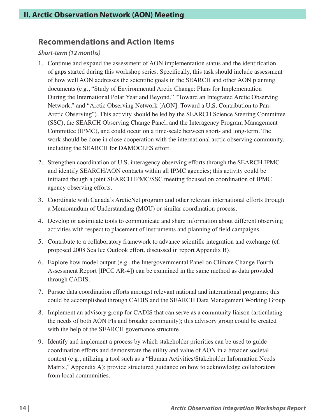### **Recommendations and Action Items**

### *Short-term (12 months)*

- 1. Continue and expand the assessment of AON implementation status and the identification of gaps started during this workshop series. Specifically, this task should include assessment of how well AON addresses the scientific goals in the SEARCH and other AON planning documents (e.g., "Study of Environmental Arctic Change: Plans for Implementation During the International Polar Year and Beyond," "Toward an Integrated Arctic Observing Network," and "Arctic Observing Network [AON]: Toward a U.S. Contribution to Pan-Arctic Observing"). This activity should be led by the SEARCH Science Steering Committee (SSC), the SEARCH Observing Change Panel, and the Interagency Program Management Committee (IPMC), and could occur on a time-scale between short- and long-term. The work should be done in close cooperation with the international arctic observing community, including the SEARCH for DAMOCLES effort.
- 2. Strengthen coordination of U.S. interagency observing efforts through the SEARCH IPMC and identify SEARCH/AON contacts within all IPMC agencies; this activity could be initiated though a joint SEARCH IPMC/SSC meeting focused on coordination of IPMC agency observing efforts.
- 3. Coordinate with Canada's ArcticNet program and other relevant international efforts through a Memorandum of Understanding (MOU) or similar coordination process.
- 4. Develop or assimilate tools to communicate and share information about different observing activities with respect to placement of instruments and planning of field campaigns.
- 5. Contribute to a collaboratory framework to advance scientific integration and exchange (cf. proposed 2008 Sea Ice Outlook effort, discussed in report Appendix B).
- 6. Explore how model output (e.g., the Intergovernmental Panel on Climate Change Fourth Assessment Report [IPCC AR-4]) can be examined in the same method as data provided through CADIS.
- 7. Pursue data coordination efforts amongst relevant national and international programs; this could be accomplished through CADIS and the SEARCH Data Management Working Group.
- 8. Implement an advisory group for CADIS that can serve as a community liaison (articulating the needs of both AON PIs and broader community); this advisory group could be created with the help of the SEARCH governance structure.
- 9. Identify and implement a process by which stakeholder priorities can be used to guide coordination efforts and demonstrate the utility and value of AON in a broader societal context (e.g., utilizing a tool such as a "Human Activities/Stakeholder Information Needs Matrix," Appendix A); provide structured guidance on how to acknowledge collaborators from local communities.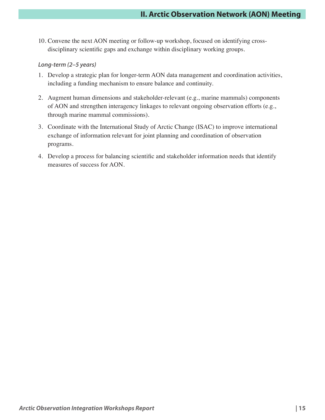10. Convene the next AON meeting or follow-up workshop, focused on identifying crossdisciplinary scientific gaps and exchange within disciplinary working groups.

#### *Long-term (2–5 years)*

- 1. Develop a strategic plan for longer-term AON data management and coordination activities, including a funding mechanism to ensure balance and continuity.
- 2. Augment human dimensions and stakeholder-relevant (e.g., marine mammals) components of AON and strengthen interagency linkages to relevant ongoing observation efforts (e.g., through marine mammal commissions).
- 3. Coordinate with the International Study of Arctic Change (ISAC) to improve international exchange of information relevant for joint planning and coordination of observation programs.
- 4. Develop a process for balancing scientific and stakeholder information needs that identify measures of success for AON.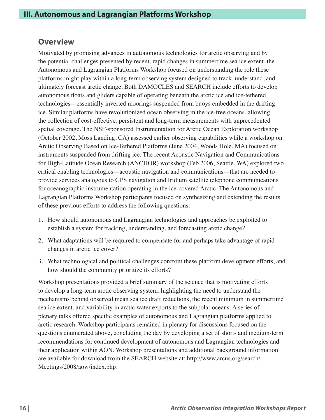### **Overview**

Motivated by promising advances in autonomous technologies for arctic observing and by the potential challenges presented by recent, rapid changes in summertime sea ice extent, the Autonomous and Lagrangian Platforms Workshop focused on understanding the role these platforms might play within a long-term observing system designed to track, understand, and ultimately forecast arctic change. Both DAMOCLES and SEARCH include efforts to develop autonomous floats and gliders capable of operating beneath the arctic ice and ice-tethered technologies—essentially inverted moorings suspended from buoys embedded in the drifting ice. Similar platforms have revolutionized ocean observing in the ice-free oceans, allowing the collection of cost-effective, persistent and long-term measurements with unprecedented spatial coverage. The NSF-sponsored Instrumentation for Arctic Ocean Exploration workshop (October 2002, Moss Landing, CA) assessed earlier observing capabilities while a workshop on Arctic Observing Based on Ice-Tethered Platforms (June 2004, Woods Hole, MA) focused on instruments suspended from drifting ice. The recent Acoustic Navigation and Communications for High-Latitude Ocean Research (ANCHOR) workshop (Feb 2006, Seattle, WA) explored two critical enabling technologies—acoustic navigation and communications—that are needed to provide services analogous to GPS navigation and Iridium satellite telephone communications for oceanographic instrumentation operating in the ice-covered Arctic. The Autonomous and Lagrangian Platforms Workshop participants focused on synthesizing and extending the results of these previous efforts to address the following questions:

- 1. How should autonomous and Lagrangian technologies and approaches be exploited to establish a system for tracking, understanding, and forecasting arctic change?
- 2. What adaptations will be required to compensate for and perhaps take advantage of rapid changes in arctic ice cover?
- 3. What technological and political challenges confront these platform development efforts, and how should the community prioritize its efforts?

Workshop presentations provided a brief summary of the science that is motivating efforts to develop a long-term arctic observing system, highlighting the need to understand the mechanisms behind observed mean sea ice draft reductions, the recent minimum in summertime sea ice extent, and variability in arctic water exports to the subpolar oceans. A series of plenary talks offered specific examples of autonomous and Lagrangian platforms applied to arctic research. Workshop participants remained in plenary for discussions focused on the questions enumerated above, concluding the day by developing a set of short- and medium-term recommendations for continued development of autonomous and Lagrangian technologies and their application within AON. Workshop presentations and additional background information are available for download from the SEARCH website at: http://www.arcus.org/search/ Meetings/2008/aow/index.php.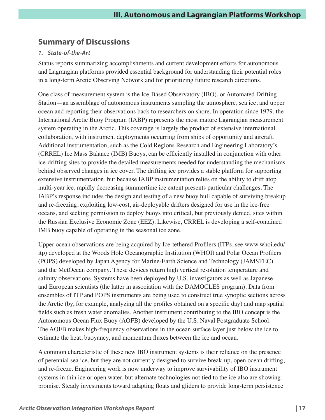### **Summary of Discussions**

### *1. State-of-the-Art*

Status reports summarizing accomplishments and current development efforts for autonomous and Lagrangian platforms provided essential background for understanding their potential roles in a long-term Arctic Observing Network and for prioritizing future research directions.

One class of measurement system is the Ice-Based Observatory (IBO), or Automated Drifting Station—an assemblage of autonomous instruments sampling the atmosphere, sea ice, and upper ocean and reporting their observations back to researchers on shore. In operation since 1979, the International Arctic Buoy Program (IABP) represents the most mature Lagrangian measurement system operating in the Arctic. This coverage is largely the product of extensive international collaboration, with instrument deployments occurring from ships of opportunity and aircraft. Additional instrumentation, such as the Cold Regions Research and Engineering Laboratory's (CRREL) Ice Mass Balance (IMB) Buoys, can be efficiently installed in conjunction with other ice-drifting sites to provide the detailed measurements needed for understanding the mechanisms behind observed changes in ice cover. The drifting ice provides a stable platform for supporting extensive instrumentation, but because IABP instrumentation relies on the ability to drift atop multi-year ice, rapidly decreasing summertime ice extent presents particular challenges. The IABP's response includes the design and testing of a new buoy hull capable of surviving breakup and re-freezing, exploiting low-cost, air-deployable drifters designed for use in the ice-free oceans, and seeking permission to deploy buoys into critical, but previously denied, sites within the Russian Exclusive Economic Zone (EEZ). Likewise, CRREL is developing a self-contained IMB buoy capable of operating in the seasonal ice zone.

Upper ocean observations are being acquired by Ice-tethered Profilers (ITPs, see www.whoi.edu/ itp) developed at the Woods Hole Oceanographic Institution (WHOI) and Polar Ocean Profilers (POPS) developed by Japan Agency for Marine-Earth Science and Technology (JAMSTEC) and the MetOcean company. These devices return high vertical resolution temperature and salinity observations. Systems have been deployed by U.S. investigators as well as Japanese and European scientists (the latter in association with the DAMOCLES program). Data from ensembles of ITP and POPS instruments are being used to construct true synoptic sections across the Arctic (by, for example, analyzing all the profiles obtained on a specific day) and map spatial fields such as fresh water anomalies. Another instrument contributing to the IBO concept is the Autonomous Ocean Flux Buoy (AOFB) developed by the U.S. Naval Postgraduate School. The AOFB makes high-frequency observations in the ocean surface layer just below the ice to estimate the heat, buoyancy, and momentum fluxes between the ice and ocean.

A common characteristic of these new IBO instrument systems is their reliance on the presence of perennial sea ice, but they are not currently designed to survive break-up, open ocean drifting, and re-freeze. Engineering work is now underway to improve survivability of IBO instrument systems in thin ice or open water, but alternate technologies not tied to the ice also are showing promise. Steady investments toward adapting floats and gliders to provide long-term persistence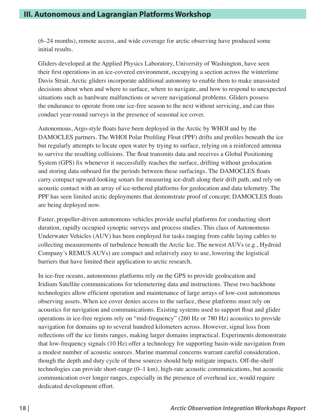(6–24 months), remote access, and wide coverage for arctic observing have produced some initial results.

Gliders developed at the Applied Physics Laboratory, University of Washington, have seen their first operations in an ice-covered environment, occupying a section across the wintertime Davis Strait. Arctic gliders incorporate additional autonomy to enable them to make unassisted decisions about when and where to surface, where to navigate, and how to respond to unexpected situations such as hardware malfunctions or severe navigational problems. Gliders possess the endurance to operate from one ice-free season to the next without servicing, and can thus conduct year-round surveys in the presence of seasonal ice cover.

Autonomous, Argo-style floats have been deployed in the Arctic by WHOI and by the DAMOCLES partners. The WHOI Polar Profiling Float (PPF) drifts and profiles beneath the ice but regularly attempts to locate open water by trying to surface, relying on a reinforced antenna to survive the resulting collisions. The float transmits data and receives a Global Positioning System (GPS) fix whenever it successfully reaches the surface, drifting without geolocation and storing data onboard for the periods between these surfacings. The DAMOCLES floats carry compact upward-looking sonars for measuring ice-draft along their drift path, and rely on acoustic contact with an array of ice-tethered platforms for geolocation and data telemetry. The PPF has seen limited arctic deployments that demonstrate proof of concept; DAMOCLES floats are being deployed now.

Faster, propeller-driven autonomous vehicles provide useful platforms for conducting short duration, rapidly occupied synoptic surveys and process studies. This class of Autonomous Underwater Vehicles (AUV) has been employed for tasks ranging from cable laying cables to collecting measurements of turbulence beneath the Arctic Ice. The newest AUVs (e.g., Hydroid Company's REMUS AUVs) are compact and relatively easy to use, lowering the logistical barriers that have limited their application to arctic research.

In ice-free oceans, autonomous platforms rely on the GPS to provide geolocation and Iridium Satellite communications for telemetering data and instructions. These two backbone technologies allow efficient operation and maintenance of large arrays of low-cost autonomous observing assets. When ice cover denies access to the surface, these platforms must rely on acoustics for navigation and communications. Existing systems used to support float and glider operations in ice-free regions rely on "mid-frequency" (260 Hz or 780 Hz) acoustics to provide navigation for domains up to several hundred kilometers across. However, signal loss from reflections off the ice limits ranges, making larger domains impractical. Experiments demonstrate that low-frequency signals (10 Hz) offer a technology for supporting basin-wide navigation from a modest number of acoustic sources. Marine mammal concerns warrant careful consideration, though the depth and duty cycle of these sources should help mitigate impacts. Off-the-shelf technologies can provide short-range (0–1 km), high-rate acoustic communications, but acoustic communication over longer ranges, especially in the presence of overhead ice, would require dedicated development effort.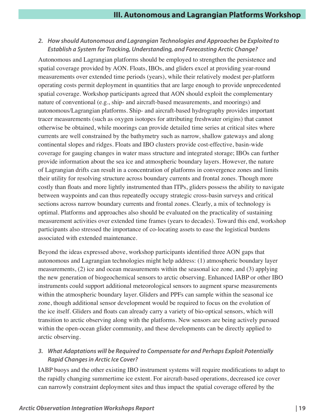### *2. How should Autonomous and Lagrangian Technologies and Approaches be Exploited to Establish a System for Tracking, Understanding, and Forecasting Arctic Change?*

Autonomous and Lagrangian platforms should be employed to strengthen the persistence and spatial coverage provided by AON. Floats, IBOs, and gliders excel at providing year-round measurements over extended time periods (years), while their relatively modest per-platform operating costs permit deployment in quantities that are large enough to provide unprecedented spatial coverage. Workshop participants agreed that AON should exploit the complementary nature of conventional (e.g., ship- and aircraft-based measurements, and moorings) and autonomous/Lagrangian platforms. Ship- and aircraft-based hydrography provides important tracer measurements (such as oxygen isotopes for attributing freshwater origins) that cannot otherwise be obtained, while moorings can provide detailed time series at critical sites where currents are well constrained by the bathymetry such as narrow, shallow gateways and along continental slopes and ridges. Floats and IBO clusters provide cost-effective, basin-wide coverage for gauging changes in water mass structure and integrated storage; IBOs can further provide information about the sea ice and atmospheric boundary layers. However, the nature of Lagrangian drifts can result in a concentration of platforms in convergence zones and limits their utility for resolving structure across boundary currents and frontal zones. Though more costly than floats and more lightly instrumented than ITPs, gliders possess the ability to navigate between waypoints and can thus repeatedly occupy strategic cross-basin surveys and critical sections across narrow boundary currents and frontal zones. Clearly, a mix of technology is optimal. Platforms and approaches also should be evaluated on the practicality of sustaining measurement activities over extended time frames (years to decades). Toward this end, workshop participants also stressed the importance of co-locating assets to ease the logistical burdens associated with extended maintenance.

Beyond the ideas expressed above, workshop participants identified three AON gaps that autonomous and Lagrangian technologies might help address: (1) atmospheric boundary layer measurements, (2) ice and ocean measurements within the seasonal ice zone, and (3) applying the new generation of biogeochemical sensors to arctic observing. Enhanced IABP or other IBO instruments could support additional meteorological sensors to augment sparse measurements within the atmospheric boundary layer. Gliders and PPFs can sample within the seasonal ice zone, though additional sensor development would be required to focus on the evolution of the ice itself. Gliders and floats can already carry a variety of bio-optical sensors, which will transition to arctic observing along with the platforms. New sensors are being actively pursued within the open-ocean glider community, and these developments can be directly applied to arctic observing.

### *3. What Adaptations will be Required to Compensate for and Perhaps Exploit Potentially Rapid Changes in Arctic Ice Cover?*

IABP buoys and the other existing IBO instrument systems will require modifications to adapt to the rapidly changing summertime ice extent. For aircraft-based operations, decreased ice cover can narrowly constraint deployment sites and thus impact the spatial coverage offered by the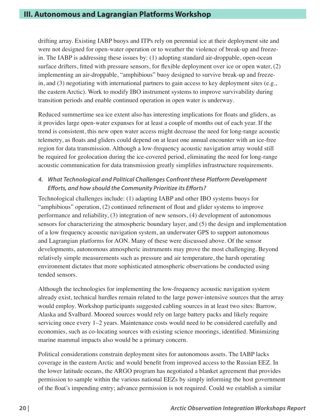drifting array. Existing IABP buoys and ITPs rely on perennial ice at their deployment site and were not designed for open-water operation or to weather the violence of break-up and freezein. The IABP is addressing these issues by: (1) adopting standard air-droppable, open-ocean surface drifters, fitted with pressure sensors, for flexible deployment over ice or open water, (2) implementing an air-droppable, "amphibious" buoy designed to survive break-up and freezein, and (3) negotiating with international partners to gain access to key deployment sites (e.g., the eastern Arctic). Work to modify IBO instrument systems to improve survivability during transition periods and enable continued operation in open water is underway.

Reduced summertime sea ice extent also has interesting implications for floats and gliders, as it provides large open-water expanses for at least a couple of months out of each year. If the trend is consistent, this new open water access might decrease the need for long-range acoustic telemetry, as floats and gliders could depend on at least one annual encounter with an ice-free region for data transmission. Although a low-frequency acoustic navigation array would still be required for geolocation during the ice-covered period, eliminating the need for long-range acoustic communication for data transmission greatly simplifies infrastructure requirements.

### *4. What Technological and Political Challenges Confront these Platform Development Efforts, and how should the Community Prioritize its Efforts?*

Technological challenges include: (1) adapting IABP and other IBO systems buoys for "amphibious" operation, (2) continued refinement of float and glider systems to improve performance and reliability, (3) integration of new sensors, (4) development of autonomous sensors for characterizing the atmospheric boundary layer, and (5) the design and implementation of a low frequency acoustic navigation system, an underwater GPS to support autonomous and Lagrangian platforms for AON. Many of these were discussed above. Of the sensor developments, autonomous atmospheric instruments may prove the most challenging. Beyond relatively simple measurements such as pressure and air temperature, the harsh operating environment dictates that more sophisticated atmospheric observations be conducted using tended sensors.

Although the technologies for implementing the low-frequency acoustic navigation system already exist, technical hurdles remain related to the large power-intensive sources that the array would employ. Workshop participants suggested cabling sources in at least two sites: Barrow, Alaska and Svalbard. Moored sources would rely on large battery packs and likely require servicing once every 1–2 years. Maintenance costs would need to be considered carefully and economies, such as co-locating sources with existing science moorings, identified. Minimizing marine mammal impacts also would be a primary concern.

Political considerations constrain deployment sites for autonomous assets. The IABP lacks coverage in the eastern Arctic and would benefit from improved access to the Russian EEZ. In the lower latitude oceans, the ARGO program has negotiated a blanket agreement that provides permission to sample within the various national EEZs by simply informing the host government of the float's impending entry; advance permission is not required. Could we establish a similar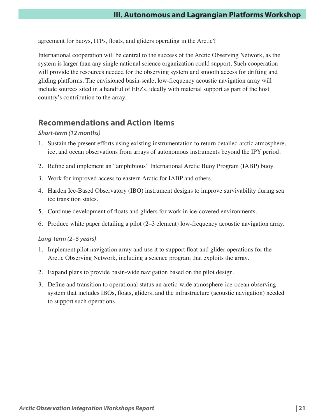agreement for buoys, ITPs, floats, and gliders operating in the Arctic?

International cooperation will be central to the success of the Arctic Observing Network, as the system is larger than any single national science organization could support. Such cooperation will provide the resources needed for the observing system and smooth access for drifting and gliding platforms. The envisioned basin-scale, low-frequency acoustic navigation array will include sources sited in a handful of EEZs, ideally with material support as part of the host country's contribution to the array.

### **Recommendations and Action Items**

### *Short-term (12 months)*

- 1. Sustain the present efforts using existing instrumentation to return detailed arctic atmosphere, ice, and ocean observations from arrays of autonomous instruments beyond the IPY period.
- 2. Refine and implement an "amphibious" International Arctic Buoy Program (IABP) buoy.
- 3. Work for improved access to eastern Arctic for IABP and others.
- 4. Harden Ice-Based Observatory (IBO) instrument designs to improve survivability during sea ice transition states.
- 5. Continue development of floats and gliders for work in ice-covered environments.
- 6. Produce white paper detailing a pilot (2–3 element) low-frequency acoustic navigation array.

#### *Long-term (2–5 years)*

- 1. Implement pilot navigation array and use it to support float and glider operations for the Arctic Observing Network, including a science program that exploits the array.
- 2. Expand plans to provide basin-wide navigation based on the pilot design.
- 3. Define and transition to operational status an arctic-wide atmosphere-ice-ocean observing system that includes IBOs, floats, gliders, and the infrastructure (acoustic navigation) needed to support such operations.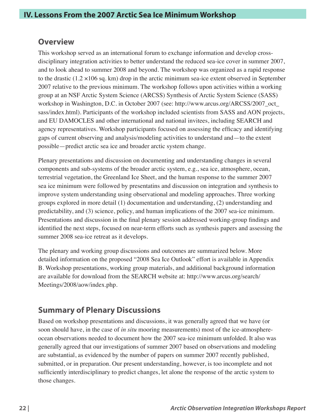### **Overview**

This workshop served as an international forum to exchange information and develop crossdisciplinary integration activities to better understand the reduced sea-ice cover in summer 2007, and to look ahead to summer 2008 and beyond. The workshop was organized as a rapid response to the drastic (1.2 ×106 sq. km) drop in the arctic minimum sea-ice extent observed in September 2007 relative to the previous minimum. The workshop follows upon activities within a working group at an NSF Arctic System Science (ARCSS) Synthesis of Arctic System Science (SASS) workshop in Washington, D.C. in October 2007 (see: http://www.arcus.org/ARCSS/2007\_oct\_ sass/index.html). Participants of the workshop included scientists from SASS and AON projects, and EU DAMOCLES and other international and national invitees, including SEARCH and agency representatives. Workshop participants focused on assessing the efficacy and identifying gaps of current observing and analysis/modeling activities to understand and—to the extent possible—predict arctic sea ice and broader arctic system change.

Plenary presentations and discussion on documenting and understanding changes in several components and sub-systems of the broader arctic system, e.g., sea ice, atmosphere, ocean, terrestrial vegetation, the Greenland Ice Sheet, and the human response to the summer 2007 sea ice minimum were followed by presentatins and discussion on integration and synthesis to improve system understanding using observational and modeling approaches. Three working groups explored in more detail (1) documentation and understanding, (2) understanding and predictability, and (3) science, policy, and human implications of the 2007 sea-ice minimum. Presentations and discussion in the final plenary session addressed working-group findings and identified the next steps, focused on near-term efforts such as synthesis papers and assessing the summer 2008 sea-ice retreat as it develops.

The plenary and working group discussions and outcomes are summarized below. More detailed information on the proposed "2008 Sea Ice Outlook" effort is available in Appendix B. Workshop presentations, working group materials, and additional background information are available for download from the SEARCH website at: http://www.arcus.org/search/ Meetings/2008/aow/index.php.

### **Summary of Plenary Discussions**

Based on workshop presentations and discussions, it was generally agreed that we have (or soon should have, in the case of *in situ* mooring measurements) most of the ice-atmosphereocean observations needed to document how the 2007 sea-ice minimum unfolded. It also was generally agreed that our investigations of summer 2007 based on observations and modeling are substantial, as evidenced by the number of papers on summer 2007 recently published, submitted, or in preparation. Our present understanding, however, is too incomplete and not sufficiently interdisciplinary to predict changes, let alone the response of the arctic system to those changes.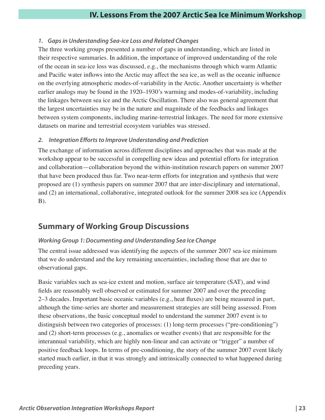### *1. Gaps in Understanding Sea-ice Loss and Related Changes*

The three working groups presented a number of gaps in understanding, which are listed in their respective summaries. In addition, the importance of improved understanding of the role of the ocean in sea-ice loss was discussed, e.g., the mechanisms through which warm Atlantic and Pacific water inflows into the Arctic may affect the sea ice, as well as the oceanic influence on the overlying atmospheric modes-of-variability in the Arctic. Another uncertainty is whether earlier analogs may be found in the 1920–1930's warming and modes-of-variability, including the linkages between sea ice and the Arctic Oscillation. There also was general agreement that the largest uncertainties may be in the nature and magnitude of the feedbacks and linkages between system components, including marine-terrestrial linkages. The need for more extensive datasets on marine and terrestrial ecosystem variables was stressed.

### *2. Integration Efforts to Improve Understanding and Prediction*

The exchange of information across different disciplines and approaches that was made at the workshop appear to be successful in compelling new ideas and potential efforts for integration and collaboration—collaboration beyond the within-institution research papers on summer 2007 that have been produced thus far. Two near-term efforts for integration and synthesis that were proposed are (1) synthesis papers on summer 2007 that are inter-disciplinary and international, and (2) an international, collaborative, integrated outlook for the summer 2008 sea ice (Appendix B).

### **Summary of Working Group Discussions**

### *Working Group 1: Documenting and Understanding Sea Ice Change*

The central issue addressed was identifying the aspects of the summer 2007 sea-ice minimum that we do understand and the key remaining uncertainties, including those that are due to observational gaps.

Basic variables such as sea-ice extent and motion, surface air temperature (SAT), and wind fields are reasonably well observed or estimated for summer 2007 and over the preceding 2–3 decades. Important basic oceanic variables (e.g., heat fluxes) are being measured in part, although the time-series are shorter and measurement strategies are still being assessed. From these observations, the basic conceptual model to understand the summer 2007 event is to distinguish between two categories of processes: (1) long-term processes ("pre-conditioning") and (2) short-term processes (e.g., anomalies or weather events) that are responsible for the interannual variability, which are highly non-linear and can activate or "trigger" a number of positive feedback loops. In terms of pre-conditioning, the story of the summer 2007 event likely started much earlier, in that it was strongly and intrinsically connected to what happened during preceding years.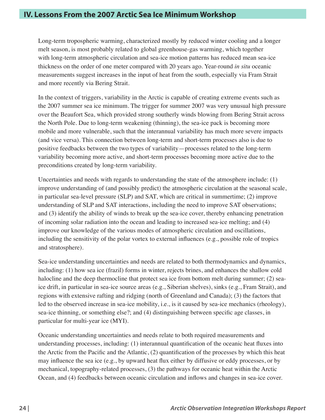Long-term tropospheric warming, characterized mostly by reduced winter cooling and a longer melt season, is most probably related to global greenhouse-gas warming, which together with long-term atmospheric circulation and sea-ice motion patterns has reduced mean sea-ice thickness on the order of one meter compared with 20 years ago. Year-round *in situ* oceanic measurements suggest increases in the input of heat from the south, especially via Fram Strait and more recently via Bering Strait.

In the context of triggers, variability in the Arctic is capable of creating extreme events such as the 2007 summer sea ice minimum. The trigger for summer 2007 was very unusual high pressure over the Beaufort Sea, which provided strong southerly winds blowing from Bering Strait across the North Pole. Due to long-term weakening (thinning), the sea-ice pack is becoming more mobile and more vulnerable, such that the interannual variability has much more severe impacts (and vice versa). This connection between long-term and short-term processes also is due to positive feedbacks between the two types of variability—processes related to the long-term variability becoming more active, and short-term processes becoming more active due to the preconditions created by long-term variability.

Uncertainties and needs with regards to understanding the state of the atmosphere include: (1) improve understanding of (and possibly predict) the atmospheric circulation at the seasonal scale, in particular sea-level pressure (SLP) and SAT, which are critical in summertime; (2) improve understanding of SLP and SAT interactions, including the need to improve SAT observations; and (3) identify the ability of winds to break up the sea-ice cover, thereby enhancing penetration of incoming solar radiation into the ocean and leading to increased sea-ice melting; and (4) improve our knowledge of the various modes of atmospheric circulation and oscillations, including the sensitivity of the polar vortex to external influences (e.g., possible role of tropics and stratosphere).

Sea-ice understanding uncertainties and needs are related to both thermodynamics and dynamics, including: (1) how sea ice (frazil) forms in winter, rejects brines, and enhances the shallow cold halocline and the deep thermocline that protect sea ice from bottom melt during summer; (2) seaice drift, in particular in sea-ice source areas (e.g., Siberian shelves), sinks (e.g., Fram Strait), and regions with extensive rafting and ridging (north of Greenland and Canada); (3) the factors that led to the observed increase in sea-ice mobility, i.e., is it caused by sea-ice mechanics (rheology), sea-ice thinning, or something else?; and (4) distinguishing between specific age classes, in particular for multi-year ice (MYI).

Oceanic understanding uncertainties and needs relate to both required measurements and understanding processes, including: (1) interannual quantification of the oceanic heat fluxes into the Arctic from the Pacific and the Atlantic, (2) quantification of the processes by which this heat may influence the sea ice (e.g., by upward heat flux either by diffusive or eddy processes, or by mechanical, topography-related processes, (3) the pathways for oceanic heat within the Arctic Ocean, and (4) feedbacks between oceanic circulation and inflows and changes in sea-ice cover.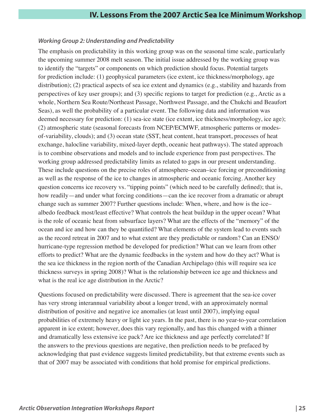### *Working Group 2: Understanding and Predictability*

The emphasis on predictability in this working group was on the seasonal time scale, particularly the upcoming summer 2008 melt season. The initial issue addressed by the working group was to identify the "targets" or components on which prediction should focus. Potential targets for prediction include: (1) geophysical parameters (ice extent, ice thickness/morphology, age distribution); (2) practical aspects of sea ice extent and dynamics (e.g., stability and hazards from perspectives of key user groups); and (3) specific regions to target for prediction (e.g., Arctic as a whole, Northern Sea Route/Northeast Passage, Northwest Passage, and the Chukchi and Beaufort Seas), as well the probability of a particular event. The following data and information was deemed necessary for prediction: (1) sea-ice state (ice extent, ice thickness/morphology, ice age); (2) atmospheric state (seasonal forecasts from NCEP/ECMWF, atmospheric patterns or modesof-variability, clouds); and (3) ocean state (SST, heat content, heat transport, processes of heat exchange, halocline variability, mixed-layer depth, oceanic heat pathways). The stated approach is to combine observations and models and to include experience from past perspectives. The working group addressed predictability limits as related to gaps in our present understanding. These include questions on the precise roles of atmosphere–ocean–ice forcing or preconditioning as well as the response of the ice to changes in atmospheric and oceanic forcing. Another key question concerns ice recovery vs. "tipping points" (which need to be carefully defined); that is, how readily—and under what forcing conditions—can the ice recover from a dramatic or abrupt change such as summer 2007? Further questions include: When, where, and how is the ice– albedo feedback most/least effective? What controls the heat buildup in the upper ocean? What is the role of oceanic heat from subsurface layers? What are the effects of the "memory" of the ocean and ice and how can they be quantified? What elements of the system lead to events such as the record retreat in 2007 and to what extent are they predictable or random? Can an ENSO/ hurricane-type regression method be developed for prediction? What can we learn from other efforts to predict? What are the dynamic feedbacks in the system and how do they act? What is the sea ice thickness in the region north of the Canadian Archipelago (this will require sea ice thickness surveys in spring 2008)? What is the relationship between ice age and thickness and what is the real ice age distribution in the Arctic?

Questions focused on predictability were discussed. There is agreement that the sea-ice cover has very strong interannual variability about a longer trend, with an approximately normal distribution of positive and negative ice anomalies (at least until 2007), implying equal probabilities of extremely heavy or light ice years. In the past, there is no year-to-year correlation apparent in ice extent; however, does this vary regionally, and has this changed with a thinner and dramatically less extensive ice pack? Are ice thickness and age perfectly correlated? If the answers to the previous questions are negative, then prediction needs to be prefaced by acknowledging that past evidence suggests limited predictability, but that extreme events such as that of 2007 may be associated with conditions that hold promise for empirical predictions.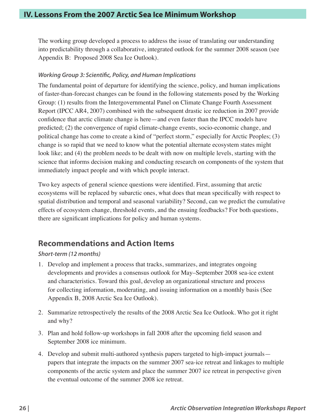The working group developed a process to address the issue of translating our understanding into predictability through a collaborative, integrated outlook for the summer 2008 season (see Appendix B: Proposed 2008 Sea Ice Outlook).

### *Working Group 3: Scientific, Policy, and Human Implications*

The fundamental point of departure for identifying the science, policy, and human implications of faster-than-forecast changes can be found in the following statements posed by the Working Group: (1) results from the Intergovernmental Panel on Climate Change Fourth Assessment Report (IPCC AR4, 2007) combined with the subsequent drastic ice reduction in 2007 provide confidence that arctic climate change is here—and even faster than the IPCC models have predicted; (2) the convergence of rapid climate-change events, socio-economic change, and political change has come to create a kind of "perfect storm," especially for Arctic Peoples; (3) change is so rapid that we need to know what the potential alternate ecosystem states might look like; and (4) the problem needs to be dealt with now on multiple levels, starting with the science that informs decision making and conducting research on components of the system that immediately impact people and with which people interact.

Two key aspects of general science questions were identified. First, assuming that arctic ecosystems will be replaced by subarctic ones, what does that mean specifically with respect to spatial distribution and temporal and seasonal variability? Second, can we predict the cumulative effects of ecosystem change, threshold events, and the ensuing feedbacks? For both questions, there are significant implications for policy and human systems.

### **Recommendations and Action Items**

### *Short-term (12 months)*

- 1. Develop and implement a process that tracks, summarizes, and integrates ongoing developments and provides a consensus outlook for May–September 2008 sea-ice extent and characteristics. Toward this goal, develop an organizational structure and process for collecting information, moderating, and issuing information on a monthly basis (See Appendix B, 2008 Arctic Sea Ice Outlook).
- 2. Summarize retrospectively the results of the 2008 Arctic Sea Ice Outlook. Who got it right and why?
- 3. Plan and hold follow-up workshops in fall 2008 after the upcoming field season and September 2008 ice minimum.
- 4. Develop and submit multi-authored synthesis papers targeted to high-impact journals papers that integrate the impacts on the summer 2007 sea-ice retreat and linkages to multiple components of the arctic system and place the summer 2007 ice retreat in perspective given the eventual outcome of the summer 2008 ice retreat.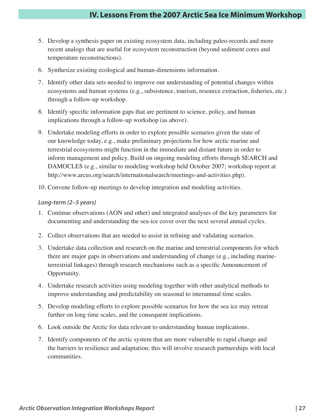- 5. Develop a synthesis paper on existing ecosystem data, including paleo-records and more recent analogs that are useful for ecosystem reconstruction (beyond sediment cores and temperature reconstructions).
- 6. Synthesize existing ecological and human-dimensions information.
- 7. Identify other data sets needed to improve our understanding of potential changes within ecosystems and human systems (e.g., subsistence, tourism, resource extraction, fisheries, etc.) through a follow-up workshop.
- 8. Identify specific information gaps that are pertinent to science, policy, and human implications through a follow-up workshop (as above).
- 9. Undertake modeling efforts in order to explore possible scenarios given the state of our knowledge today, e.g., make preliminary projections for how arctic marine and terrestrial ecosystems might function in the immediate and distant future in order to inform management and policy. Build on ongoing modeling efforts through SEARCH and DAMOCLES (e.g., similar to modeling workshop held October 2007; workshop report at http://www.arcus.org/search/internationalsearch/meetings-and-activities.php).
- 10. Convene follow-up meetings to develop integration and modeling activities.

### *Long-term (2–5 years)*

- 1. Continue observations (AON and other) and integrated analyses of the key parameters for documenting and understanding the sea-ice cover over the next several annual cycles.
- 2. Collect observations that are needed to assist in refining and validating scenarios.
- 3. Undertake data collection and research on the marine and terrestrial components for which there are major gaps in observations and understanding of change (e.g., including marineterrestrial linkages) through research mechanisms such as a specific Announcement of Opportunity.
- 4. Undertake research activities using modeling together with other analytical methods to improve understanding and predictability on seasonal to interannual time scales.
- 5. Develop modeling efforts to explore possible scenarios for how the sea ice may retreat further on long time scales, and the consequent implications.
- 6. Look outside the Arctic for data relevant to understanding human implications.
- 7. Identify components of the arctic system that are more vulnerable to rapid change and the barriers to resilience and adaptation; this will involve research partnerships with local communities.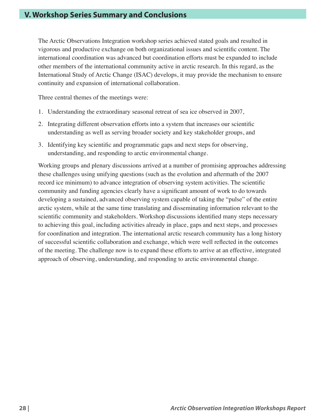The Arctic Observations Integration workshop series achieved stated goals and resulted in vigorous and productive exchange on both organizational issues and scientific content. The international coordination was advanced but coordination efforts must be expanded to include other members of the international community active in arctic research. In this regard, as the International Study of Arctic Change (ISAC) develops, it may provide the mechanism to ensure continuity and expansion of international collaboration.

Three central themes of the meetings were:

- 1. Understanding the extraordinary seasonal retreat of sea ice observed in 2007,
- 2. Integrating different observation efforts into a system that increases our scientific understanding as well as serving broader society and key stakeholder groups, and
- 3. Identifying key scientific and programmatic gaps and next steps for observing, understanding, and responding to arctic environmental change.

Working groups and plenary discussions arrived at a number of promising approaches addressing these challenges using unifying questions (such as the evolution and aftermath of the 2007 record ice minimum) to advance integration of observing system activities. The scientific community and funding agencies clearly have a significant amount of work to do towards developing a sustained, advanced observing system capable of taking the "pulse" of the entire arctic system, while at the same time translating and disseminating information relevant to the scientific community and stakeholders. Workshop discussions identified many steps necessary to achieving this goal, including activities already in place, gaps and next steps, and processes for coordination and integration. The international arctic research community has a long history of successful scientific collaboration and exchange, which were well reflected in the outcomes of the meeting. The challenge now is to expand these efforts to arrive at an effective, integrated approach of observing, understanding, and responding to arctic environmental change.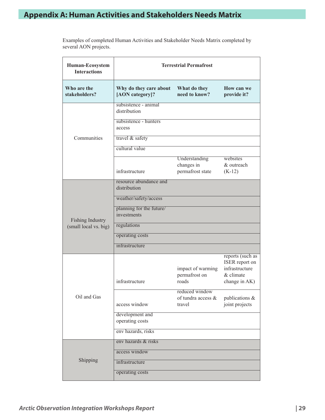Examples of completed Human Activities and Stakeholder Needs Matrix completed by several AON projects.

| Human-Ecosystem<br><b>Interactions</b> | <b>Terrestrial Permafrost</b>             |                                                 |                                                                                    |
|----------------------------------------|-------------------------------------------|-------------------------------------------------|------------------------------------------------------------------------------------|
| Who are the<br>stakeholders?           | Why do they care about<br>[AON category]? | What do they<br>need to know?                   | How can we<br>provide it?                                                          |
|                                        | subsistence - animal<br>distribution      |                                                 |                                                                                    |
|                                        | subsistence - hunters<br>access           |                                                 |                                                                                    |
| Communities                            | travel & safety                           |                                                 |                                                                                    |
|                                        | cultural value                            |                                                 |                                                                                    |
|                                        | infrastructure                            | Understanding<br>changes in<br>permafrost state | websites<br>& outreach<br>$(K-12)$                                                 |
|                                        | resource abundance and<br>distribution    |                                                 |                                                                                    |
|                                        | weather/safety/access                     |                                                 |                                                                                    |
| <b>Fishing Industry</b>                | planning for the future/<br>investments   |                                                 |                                                                                    |
| (small local vs. big)                  | regulations                               |                                                 |                                                                                    |
|                                        | operating costs                           |                                                 |                                                                                    |
|                                        | infrastructure                            |                                                 |                                                                                    |
|                                        | infrastructure                            | impact of warming<br>permafrost on<br>roads     | reports (such as<br>ISER report on<br>infrastructure<br>& climate<br>change in AK) |
| Oil and Gas                            | access window                             | reduced window<br>of tundra access &<br>travel  | publications &<br>joint projects                                                   |
|                                        | development and<br>operating costs        |                                                 |                                                                                    |
|                                        | env hazards, risks                        |                                                 |                                                                                    |
|                                        | eny hazards & risks                       |                                                 |                                                                                    |
|                                        | access window                             |                                                 |                                                                                    |
| Shipping                               | infrastructure                            |                                                 |                                                                                    |
|                                        | operating costs                           |                                                 |                                                                                    |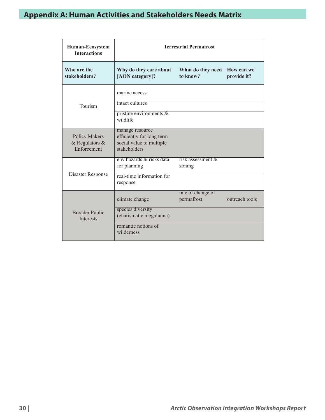| Human-Ecosystem<br><b>Interactions</b>                    | <b>Terrestrial Permafrost</b>                                                            |                                 |                           |
|-----------------------------------------------------------|------------------------------------------------------------------------------------------|---------------------------------|---------------------------|
| Who are the<br>stakeholders?                              | Why do they care about<br>[AON category]?                                                | What do they need<br>to know?   | How can we<br>provide it? |
|                                                           | marine access<br>intact cultures                                                         |                                 |                           |
| Tourism                                                   | pristine environments $\&$<br>wildlife                                                   |                                 |                           |
| <b>Policy Makers</b><br>$&$ Regulators $&$<br>Enforcement | manage resource<br>efficiently for long term<br>social value to multiple<br>stakeholders |                                 |                           |
| Disaster Response                                         | eny hazards & risks data<br>for planning<br>real-time information for<br>response        | risk assessment $\&$<br>zoning  |                           |
|                                                           | climate change                                                                           | rate of change of<br>permafrost | outreach tools            |
| <b>Broader Public</b><br><b>Interests</b>                 | species diversity<br>(charismatic megafauna)<br>romantic notions of<br>wilderness        |                                 |                           |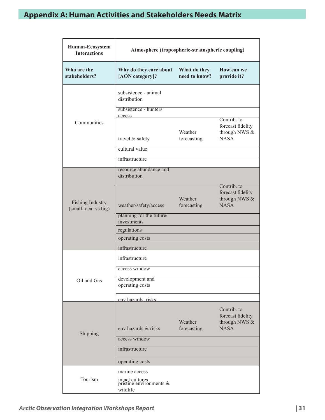| Human-Ecosystem<br><b>Interactions</b>          | Atmosphere (tropospheric-stratospheric coupling)          |                               |                                                                  |
|-------------------------------------------------|-----------------------------------------------------------|-------------------------------|------------------------------------------------------------------|
| Who are the<br>stakeholders?                    | Why do they care about<br>[AON category]?                 | What do they<br>need to know? | How can we<br>provide it?                                        |
|                                                 | subsistence - animal<br>distribution                      |                               |                                                                  |
|                                                 | subsistence - hunters                                     |                               |                                                                  |
| Communities                                     | access<br>travel & safety                                 | Weather<br>forecasting        | Contrib. to<br>forecast fidelity<br>through NWS &<br><b>NASA</b> |
|                                                 | cultural value                                            |                               |                                                                  |
|                                                 | infrastructure                                            |                               |                                                                  |
|                                                 | resource abundance and<br>distribution                    |                               |                                                                  |
| <b>Fishing Industry</b><br>(small local vs big) | weather/safety/access                                     | Weather<br>forecasting        | Contrib. to<br>forecast fidelity<br>through NWS &<br><b>NASA</b> |
|                                                 | planning for the future/<br>investments                   |                               |                                                                  |
|                                                 | regulations                                               |                               |                                                                  |
|                                                 | operating costs<br>infrastructure                         |                               |                                                                  |
|                                                 | infrastructure                                            |                               |                                                                  |
|                                                 | access window                                             |                               |                                                                  |
| Oil and Gas                                     | development and<br>operating costs                        |                               |                                                                  |
|                                                 | env hazards, risks                                        |                               |                                                                  |
|                                                 | env hazards & risks                                       | Weather<br>forecasting        | Contrib. to<br>forecast fidelity<br>through NWS &<br><b>NASA</b> |
| Shipping                                        | access window                                             |                               |                                                                  |
|                                                 | infrastructure                                            |                               |                                                                  |
|                                                 | operating costs                                           |                               |                                                                  |
|                                                 | marine access                                             |                               |                                                                  |
| Tourism                                         | intact cultures<br>pristine environments $\&$<br>wildlife |                               |                                                                  |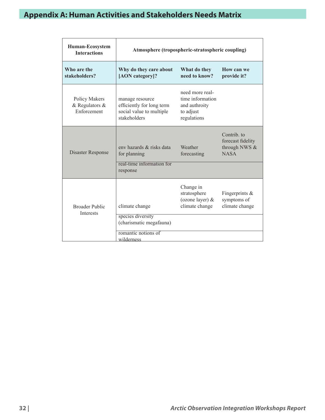| <b>Human-Ecosystem</b><br><b>Interactions</b>      | Atmosphere (tropospheric-stratospheric coupling)                                         |                                                                                  |                                                                  |
|----------------------------------------------------|------------------------------------------------------------------------------------------|----------------------------------------------------------------------------------|------------------------------------------------------------------|
| Who are the<br>stakeholders?                       | Why do they care about<br>[AON category]?                                                | What do they<br>need to know?                                                    | How can we<br>provide it?                                        |
| Policy Makers<br>$&$ Regulators $&$<br>Enforcement | manage resource<br>efficiently for long term<br>social value to multiple<br>stakeholders | need more real-<br>time information<br>and authroity<br>to adjust<br>regulations |                                                                  |
| Disaster Response                                  | eny hazards & risks data<br>for planning<br>real-time information for                    | Weather<br>forecasting                                                           | Contrib. to<br>forecast fidelity<br>through NWS &<br><b>NASA</b> |
|                                                    | response                                                                                 |                                                                                  |                                                                  |
| <b>Broader Public</b><br><b>Interests</b>          | climate change<br>species diversity                                                      | Change in<br>stratosphere<br>(ozone layer) $&$<br>climate change                 | Fingerprints $\&$<br>symptoms of<br>climate change               |
|                                                    | (charismatic megafauna)<br>romantic notions of                                           |                                                                                  |                                                                  |
|                                                    | wilderness                                                                               |                                                                                  |                                                                  |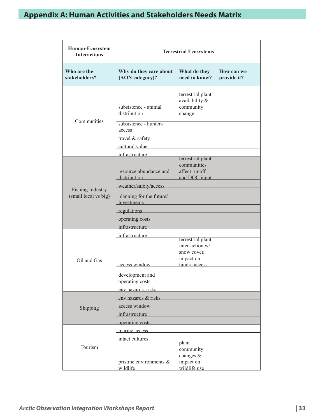| Human-Ecosystem<br><b>Interactions</b>          |                                                                                                                                                                                                                                                                                                                                                                                                                                                                                                                                                                                                  | <b>Terrestrial Ecosystems</b>                                                     |                           |  |
|-------------------------------------------------|--------------------------------------------------------------------------------------------------------------------------------------------------------------------------------------------------------------------------------------------------------------------------------------------------------------------------------------------------------------------------------------------------------------------------------------------------------------------------------------------------------------------------------------------------------------------------------------------------|-----------------------------------------------------------------------------------|---------------------------|--|
| Who are the<br>stakeholders?                    | Why do they care about<br>[AON category]?                                                                                                                                                                                                                                                                                                                                                                                                                                                                                                                                                        | What do they<br>need to know?                                                     | How can we<br>provide it? |  |
| Communities                                     | subsistence - animal<br>distribution<br>subsistence - hunters<br>access<br>travel & safety<br>cultural value<br>infrastructure                                                                                                                                                                                                                                                                                                                                                                                                                                                                   | terrestrial plant<br>availability &<br>community<br>change                        |                           |  |
| <b>Fishing Industry</b><br>(small local vs big) | resource abundance and<br>distribution<br>weather/safety/access<br>planning for the future/<br>investments<br>regulations experiences and the set of the set of the set of the set of the set of the set of the set of the set of the set of the set of the set of the set of the set of the set of the set of the set of the set of the set<br>operating costs experiences and the set of the set of the set of the set of the set of the set of the set of the set of the set of the set of the set of the set of the set of the set of the set of the set of the set of the<br>infrastructure | terrestrial plant<br>communities<br>affect runoff<br>and DOC input                |                           |  |
| Oil and Gas                                     | infrastructure<br>access window<br>development and<br>operating costs<br>env hazards, risks                                                                                                                                                                                                                                                                                                                                                                                                                                                                                                      | terrestrial plant<br>inter-action w/<br>snow cover,<br>impact on<br>tundra access |                           |  |
| Shipping                                        | env hazards & risks<br>access window<br>infrastructure<br>operating costs experiences and the set of the set of the set of the set of the set of the set of the set of the set of the set of the set of the set of the set of the set of the set of the set of the set of the set of the                                                                                                                                                                                                                                                                                                         |                                                                                   |                           |  |
| Tourism                                         | marine access<br>intact cultures<br>pristine environments $\&$<br>wildlife                                                                                                                                                                                                                                                                                                                                                                                                                                                                                                                       | plant<br>community<br>changes $\&$<br>impact on<br>wildlife use                   |                           |  |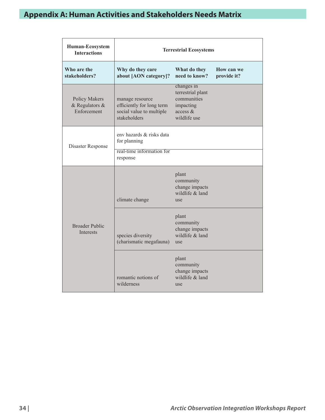| Human-Ecosystem<br><b>Interactions</b>                | <b>Terrestrial Ecosystems</b>                                                            |                                                                                         |                           |
|-------------------------------------------------------|------------------------------------------------------------------------------------------|-----------------------------------------------------------------------------------------|---------------------------|
| Who are the<br>stakeholders?                          | Why do they care<br>about [AON category]?                                                | What do they<br>need to know?                                                           | How can we<br>provide it? |
| <b>Policy Makers</b><br>& Regulators &<br>Enforcement | manage resource<br>efficiently for long term<br>social value to multiple<br>stakeholders | changes in<br>terrestrial plant<br>communities<br>impacting<br>access &<br>wildlife use |                           |
| Disaster Response                                     | eny hazards & risks data<br>for planning                                                 |                                                                                         |                           |
|                                                       | real-time information for<br>response                                                    |                                                                                         |                           |
|                                                       | climate change                                                                           | plant<br>community<br>change impacts<br>wildlife & land<br>use                          |                           |
| <b>Broader Public</b><br><b>Interests</b>             | species diversity<br>(charismatic megafauna)                                             | plant<br>community<br>change impacts<br>wildlife & land<br>use                          |                           |
|                                                       | romantic notions of<br>wilderness                                                        | plant<br>community<br>change impacts<br>wildlife & land<br>use                          |                           |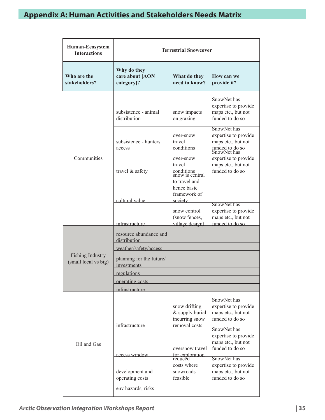| Human-Ecosystem<br><b>Interactions</b>   | <b>Terrestrial Snowcover</b>                 |                                                                         |                                                                                             |
|------------------------------------------|----------------------------------------------|-------------------------------------------------------------------------|---------------------------------------------------------------------------------------------|
| Who are the<br>stakeholders?             | Why do they<br>care about [AON<br>category]? | What do they<br>need to know?                                           | How can we<br>provide it?                                                                   |
|                                          | subsistence - animal<br>distribution         | snow impacts<br>on grazing                                              | SnowNet has<br>expertise to provide<br>maps etc., but not<br>funded to do so                |
|                                          | subsistence - hunters<br>access              | over-snow<br>travel<br>conditions                                       | SnowNet has<br>expertise to provide<br>maps etc., but not<br>funded to do so<br>SnowNet has |
| Communities                              | travel & safety                              | over-snow<br>travel<br>conditions<br>snow is central<br>to travel and   | expertise to provide<br>maps etc., but not<br>funded to do so                               |
|                                          | cultural value                               | hence basic<br>framework of<br>society<br>snow control<br>(snow fences, | SnowNet has<br>expertise to provide<br>maps etc., but not                                   |
|                                          | infrastructure                               | village design)                                                         | funded to do so                                                                             |
|                                          | resource abundance and<br>distribution       |                                                                         |                                                                                             |
|                                          | weather/safety/access                        |                                                                         |                                                                                             |
| Fishing Industry<br>(small local vs big) | planning for the future/<br>investments      |                                                                         |                                                                                             |
|                                          | regulations                                  |                                                                         |                                                                                             |
|                                          | operating costs                              |                                                                         |                                                                                             |
|                                          | infrastructure                               |                                                                         |                                                                                             |
| Oil and Gas                              | infrastructure                               | snow drifting<br>& supply burial<br>incurring snow<br>removal costs     | SnowNet has<br>expertise to provide<br>maps etc., but not<br>funded to do so                |
|                                          |                                              | oversnow travel                                                         | SnowNet has<br>expertise to provide<br>maps etc., but not<br>funded to do so                |
|                                          | access window                                | for exploration<br>reduced                                              | SnowNet has                                                                                 |
|                                          | development and                              | costs where<br>snowroads                                                | expertise to provide<br>maps etc., but not<br>funded to do so                               |
|                                          | operating costs                              | feasible                                                                |                                                                                             |
|                                          | env hazards, risks                           |                                                                         |                                                                                             |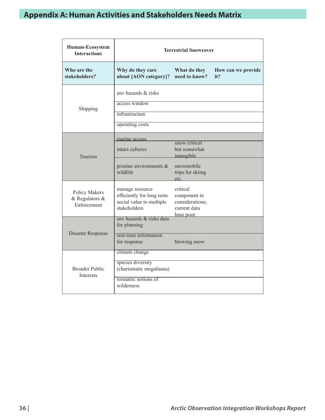| Human-Ecosystem<br><b>Interactions</b>         | <b>Terrestrial Snowcover</b>                                                                        |                                                                          |                           |
|------------------------------------------------|-----------------------------------------------------------------------------------------------------|--------------------------------------------------------------------------|---------------------------|
| Who are the<br>stakeholders?                   | Why do they care<br>about [AON category]?                                                           | What do they<br>need to know?                                            | How can we provide<br>it? |
| Shipping                                       | env hazards & risks<br>access window<br>infrastructure<br>operating costs                           |                                                                          |                           |
| Tourism                                        | marine access<br>intact cultures                                                                    | snow critical<br>but somewhat<br>intangible                              |                           |
|                                                | pristine environments $\&$<br>wildlife                                                              | snowmobile<br>trips for skiing<br>etc.                                   |                           |
| Policy Makers<br>& Regulators &<br>Enforcement | manage resource<br>efficiently for long term<br>social value to multiple<br>stakeholders            | critical<br>component in<br>considerations;<br>current data<br>base poor |                           |
|                                                | eny hazards & risks data<br>for planning                                                            |                                                                          |                           |
| Disaster Response                              | real-time information<br>for response                                                               | blowing snow                                                             |                           |
| <b>Broader Public</b><br><b>Interests</b>      | climate change<br>species diversity<br>(charismatic megafauna)<br>romantic notions of<br>wilderness |                                                                          |                           |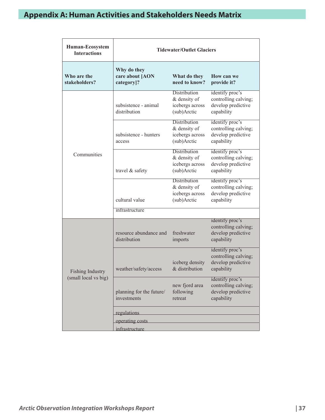| Human-Ecosystem<br><b>Interactions</b>          | <b>Tidewater/Outlet Glaciers</b>             |                                                                       |                                                                             |
|-------------------------------------------------|----------------------------------------------|-----------------------------------------------------------------------|-----------------------------------------------------------------------------|
| Who are the<br>stakeholders?                    | Why do they<br>care about [AON<br>category]? | What do they<br>need to know?                                         | How can we<br>provide it?                                                   |
|                                                 | subsistence - animal<br>distribution         | <b>Distribution</b><br>& density of<br>icebergs across<br>(sub)Arctic | identify proc's<br>controlling calving;<br>develop predictive<br>capability |
|                                                 | subsistence - hunters<br>access              | Distribution<br>& density of<br>icebergs across<br>(sub)Arctic        | identify proc's<br>controlling calving;<br>develop predictive<br>capability |
| Communities                                     | travel & safety                              | <b>Distribution</b><br>& density of<br>icebergs across<br>(sub)Arctic | identify proc's<br>controlling calving;<br>develop predictive<br>capability |
|                                                 | cultural value                               | <b>Distribution</b><br>& density of<br>icebergs across<br>(sub)Arctic | identify proc's<br>controlling calving;<br>develop predictive<br>capability |
|                                                 | infrastructure                               |                                                                       |                                                                             |
|                                                 | resource abundance and<br>distribution       | freshwater<br>imports                                                 | identify proc's<br>controlling calving;<br>develop predictive<br>capability |
| <b>Fishing Industry</b><br>(small local vs big) | weather/safety/access                        | iceberg density<br>& distribution                                     | identify proc's<br>controlling calving;<br>develop predictive<br>capability |
|                                                 | planning for the future/<br>investments      | new fjord area<br>following<br>retreat                                | identify proc's<br>controlling calving;<br>develop predictive<br>capability |
|                                                 | regulations                                  |                                                                       |                                                                             |
|                                                 | operating costs                              |                                                                       |                                                                             |
|                                                 | infrastructure                               |                                                                       |                                                                             |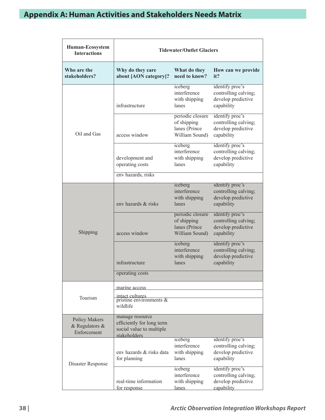| Human-Ecosystem<br><b>Interactions</b>                   | <b>Tidewater/Outlet Glaciers</b>                                                         |                                                                    |                                                                             |
|----------------------------------------------------------|------------------------------------------------------------------------------------------|--------------------------------------------------------------------|-----------------------------------------------------------------------------|
| Who are the<br>stakeholders?                             | Why do they care<br>about [AON category]?                                                | What do they<br>need to know?                                      | How can we provide<br>it?                                                   |
|                                                          | infrastructure                                                                           | iceberg<br>interference<br>with shipping<br>lanes                  | identify proc's<br>controlling calving;<br>develop predictive<br>capability |
| Oil and Gas                                              | access window                                                                            | periodic closure<br>of shipping<br>lanes (Prince<br>William Sound) | identify proc's<br>controlling calving;<br>develop predictive<br>capability |
|                                                          | development and<br>operating costs                                                       | iceberg<br>interference<br>with shipping<br>lanes                  | identify proc's<br>controlling calving;<br>develop predictive<br>capability |
|                                                          | env hazards, risks                                                                       |                                                                    |                                                                             |
| Shipping                                                 | eny hazards & risks                                                                      | iceberg<br>interference<br>with shipping<br>lanes                  | identify proc's<br>controlling calving;<br>develop predictive<br>capability |
|                                                          | access window                                                                            | periodic closure<br>of shipping<br>lanes (Prince<br>William Sound) | identify proc's<br>controlling calving;<br>develop predictive<br>capability |
|                                                          | infrastructure                                                                           | iceberg<br>interference<br>with shipping<br>lanes                  | identify proc's<br>controlling calving;<br>develop predictive<br>capability |
|                                                          | operating costs                                                                          |                                                                    |                                                                             |
|                                                          | marine access                                                                            |                                                                    |                                                                             |
| Tourism                                                  | intact cultures<br>pristine environments $\&$<br>wildlife                                |                                                                    |                                                                             |
| <b>Policy Makers</b><br>& Regulators $\&$<br>Enforcement | manage resource<br>efficiently for long term<br>social value to multiple<br>stakeholders |                                                                    |                                                                             |
| Disaster Response                                        | eny hazards & risks data<br>for planning                                                 | iceberg<br>interference<br>with shipping<br>lanes                  | identify proc's<br>controlling calving;<br>develop predictive<br>capability |
|                                                          | real-time information<br>for response                                                    | iceberg<br>interference<br>with shipping<br><u>lanes</u>           | identify proc's<br>controlling calving;<br>develop predictive<br>capability |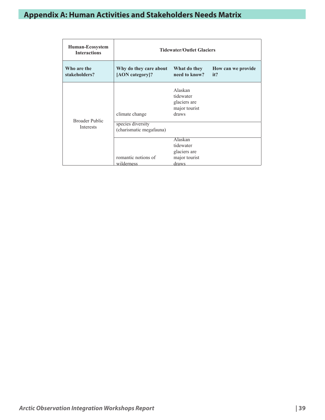| <b>Human-Ecosystem</b><br><b>Interactions</b> | <b>Tidewater/Outlet Glaciers</b>                                                  |                                                                       |                                  |
|-----------------------------------------------|-----------------------------------------------------------------------------------|-----------------------------------------------------------------------|----------------------------------|
| Who are the<br>stakeholders?                  | Why do they care about<br>[AON category]?                                         | What do they<br>need to know?                                         | <b>How can we provide</b><br>it? |
| <b>Broader Public</b>                         | climate change                                                                    | Alaskan<br>tidewater<br>glaciers are<br>major tourist<br>draws        |                                  |
| Interests                                     | species diversity<br>(charismatic megafauna)<br>romantic notions of<br>wilderness | <b>Alaskan</b><br>tidewater<br>glaciers are<br>major tourist<br>draws |                                  |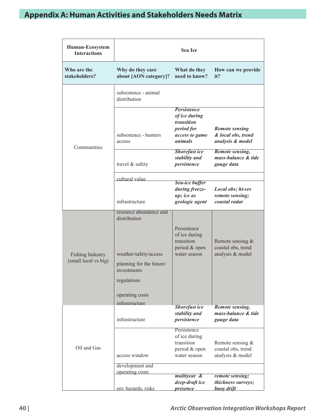| Human-Ecosystem<br><b>Interactions</b>   |                                                                                                                                                                | <b>Sea Ice</b>                                                                                      |                                                                 |
|------------------------------------------|----------------------------------------------------------------------------------------------------------------------------------------------------------------|-----------------------------------------------------------------------------------------------------|-----------------------------------------------------------------|
| Who are the<br>stakeholders?             | Why do they care<br>about [AON category]?                                                                                                                      | What do they<br>need to know?                                                                       | How can we provide<br>it?                                       |
|                                          | subsistence - animal<br>distribution                                                                                                                           |                                                                                                     |                                                                 |
| Communities                              | subsistence - hunters<br>access                                                                                                                                | <b>Persistence</b><br>of ice during<br><i>transition</i><br>period for<br>access to game<br>animals | <b>Remote sensing</b><br>& local obs, trend<br>analysis & model |
|                                          | travel & safety                                                                                                                                                | <b>Shorefast ice</b><br>stability and<br>persistence                                                | <b>Remote sensing,</b><br>mass-balance & tide<br>gauge data     |
|                                          | cultural value                                                                                                                                                 |                                                                                                     |                                                                 |
|                                          | infrastructure                                                                                                                                                 | <b>Sea-ice buffer</b><br>during freeze-<br>up; ice as<br>geologic agent                             | Local obs; hi-res<br>remote sensing;<br>coastal radar           |
| Fishing Industry<br>(small local vs big) | resource abundance and<br>distribution<br>weather/safety/access<br>planning for the future/<br>investments<br>regulations<br>operating costs<br>infrastructure | Persistence<br>of ice during<br>transition<br>period & open<br>water season                         | Remote sensing $&$<br>coastal obs, trend<br>analysis & model    |
| Oil and Gas                              | infrastructure                                                                                                                                                 | <b>Shorefast</b> ice<br>stability and<br>persistence                                                | Remote sensing,<br>mass-balance & tide<br>gauge data            |
|                                          | access window                                                                                                                                                  | Persistence<br>of ice during<br>transition<br>period & open<br>water season                         | Remote sensing &<br>coastal obs, trend<br>analysis & model      |
|                                          | development and<br>operating costs                                                                                                                             |                                                                                                     |                                                                 |
|                                          | env hazards, risks                                                                                                                                             | multiyear &<br>deep-draft ice<br><i>presence</i>                                                    | remote sensing;<br>thickness surveys;<br>buoy drift             |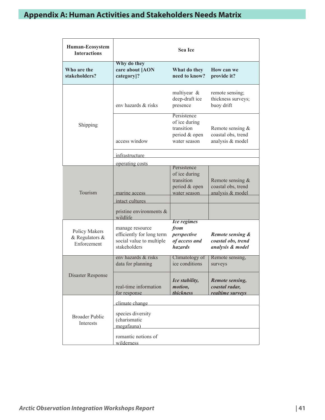| Human-Ecosystem<br><b>Interactions</b>         |                                                                                                        | <b>Sea Ice</b>                                                               |                                                            |
|------------------------------------------------|--------------------------------------------------------------------------------------------------------|------------------------------------------------------------------------------|------------------------------------------------------------|
| Who are the<br>stakeholders?                   | Why do they<br>care about [AON<br>category]?                                                           | What do they<br>need to know?                                                | How can we<br>provide it?                                  |
|                                                | eny hazards & risks                                                                                    | multiyear &<br>deep-draft ice<br>presence                                    | remote sensing;<br>thickness surveys;<br>buoy drift        |
| Shipping                                       | access window                                                                                          | Persistence<br>of ice during<br>transition<br>period & open<br>water season  | Remote sensing &<br>coastal obs, trend<br>analysis & model |
|                                                | infrastructure                                                                                         |                                                                              |                                                            |
| Tourism                                        | operating costs<br>marine access<br>intact cultures                                                    | Persistence<br>of ice during<br>transition<br>period & open<br>water season  | Remote sensing &<br>coastal obs, trend<br>analysis & model |
|                                                | pristine environments &<br>wildlife                                                                    |                                                                              |                                                            |
| Policy Makers<br>& Regulators &<br>Enforcement | manage resource<br>efficiently for long term<br>social value to multiple<br>stakeholders               | <b>Ice regimes</b><br>from<br>perspective<br>of access and<br><b>hazards</b> | Remote sensing &<br>coastal obs, trend<br>analysis & model |
|                                                | eny hazards & risks<br>data for planning                                                               | Climatology of<br>ice conditions                                             | Remote sensing,<br>surveys                                 |
| <b>Disaster Response</b>                       | real-time information<br>for response                                                                  | Ice stability,<br>motion,<br><i>thickness</i>                                | Remote sensing,<br>coastal radar,<br>realtime surveys      |
| <b>Broader Public</b><br><b>Interests</b>      | climate change<br>species diversity<br>(charismatic<br>megafauna)<br>romantic notions of<br>wilderness |                                                                              |                                                            |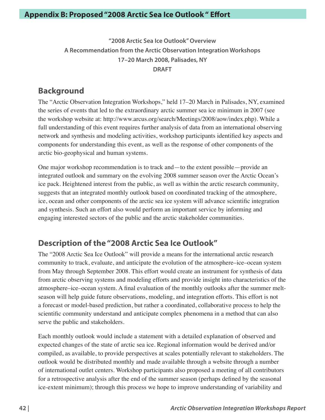**"2008 Arctic Sea Ice Outlook" Overview A Recommendation from the Arctic Observation Integration Workshops 17–20 March 2008, Palisades, NY DRAFT**

### **Background**

The "Arctic Observation Integration Workshops," held 17–20 March in Palisades, NY, examined the series of events that led to the extraordinary arctic summer sea ice minimum in 2007 (see the workshop website at: http://www.arcus.org/search/Meetings/2008/aow/index.php). While a full understanding of this event requires further analysis of data from an international observing network and synthesis and modeling activities, workshop participants identified key aspects and components for understanding this event, as well as the response of other components of the arctic bio-geophysical and human systems.

One major workshop recommendation is to track and—to the extent possible—provide an integrated outlook and summary on the evolving 2008 summer season over the Arctic Ocean's ice pack. Heightened interest from the public, as well as within the arctic research community, suggests that an integrated monthly outlook based on coordinated tracking of the atmosphere, ice, ocean and other components of the arctic sea ice system will advance scientific integration and synthesis. Such an effort also would perform an important service by informing and engaging interested sectors of the public and the arctic stakeholder communities.

### **Description of the "2008 Arctic Sea Ice Outlook"**

The "2008 Arctic Sea Ice Outlook" will provide a means for the international arctic research community to track, evaluate, and anticipate the evolution of the atmosphere–ice–ocean system from May through September 2008. This effort would create an instrument for synthesis of data from arctic observing systems and modeling efforts and provide insight into characteristics of the atmosphere–ice–ocean system. A final evaluation of the monthly outlooks after the summer meltseason will help guide future observations, modeling, and integration efforts. This effort is not a forecast or model-based prediction, but rather a coordinated, collaborative process to help the scientific community understand and anticipate complex phenomena in a method that can also serve the public and stakeholders.

Each monthly outlook would include a statement with a detailed explanation of observed and expected changes of the state of arctic sea ice. Regional information would be derived and/or compiled, as available, to provide perspectives at scales potentially relevant to stakeholders. The outlook would be distributed monthly and made available through a website through a number of international outlet centers. Workshop participants also proposed a meeting of all contributors for a retrospective analysis after the end of the summer season (perhaps defined by the seasonal ice-extent minimum); through this process we hope to improve understanding of variability and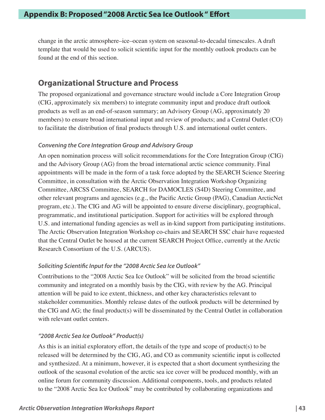change in the arctic atmosphere–ice–ocean system on seasonal-to-decadal timescales. A draft template that would be used to solicit scientific input for the monthly outlook products can be found at the end of this section.

### **Organizational Structure and Process**

The proposed organizational and governance structure would include a Core Integration Group (CIG, approximately six members) to integrate community input and produce draft outlook products as well as an end-of-season summary; an Advisory Group (AG, approximately 20 members) to ensure broad international input and review of products; and a Central Outlet (CO) to facilitate the distribution of final products through U.S. and international outlet centers.

### *Convening the Core Integration Group and Advisory Group*

An open nomination process will solicit recommendations for the Core Integration Group (CIG) and the Advisory Group (AG) from the broad international arctic science community. Final appointments will be made in the form of a task force adopted by the SEARCH Science Steering Committee, in consultation with the Arctic Observation Integration Workshop Organizing Committee, ARCSS Committee, SEARCH for DAMOCLES (S4D) Steering Committee, and other relevant programs and agencies (e.g., the Pacific Arctic Group (PAG), Canadian ArcticNet program, etc.). The CIG and AG will be appointed to ensure diverse disciplinary, geographical, programmatic, and institutional participation. Support for activities will be explored through U.S. and international funding agencies as well as in-kind support from participating institutions. The Arctic Observation Integration Workshop co-chairs and SEARCH SSC chair have requested that the Central Outlet be housed at the current SEARCH Project Office, currently at the Arctic Research Consortium of the U.S. (ARCUS).

### *Soliciting Scientific Input for the "2008 Arctic Sea Ice Outlook"*

Contributions to the "2008 Arctic Sea Ice Outlook" will be solicited from the broad scientific community and integrated on a monthly basis by the CIG, with review by the AG. Principal attention will be paid to ice extent, thickness, and other key characteristics relevant to stakeholder communities. Monthly release dates of the outlook products will be determined by the CIG and AG; the final product(s) will be disseminated by the Central Outlet in collaboration with relevant outlet centers.

### *"2008 Arctic Sea Ice Outlook" Product(s)*

As this is an initial exploratory effort, the details of the type and scope of product(s) to be released will be determined by the CIG, AG, and CO as community scientific input is collected and synthesized. At a minimum, however, it is expected that a short document synthesizing the outlook of the seasonal evolution of the arctic sea ice cover will be produced monthly, with an online forum for community discussion. Additional components, tools, and products related to the "2008 Arctic Sea Ice Outlook" may be contributed by collaborating organizations and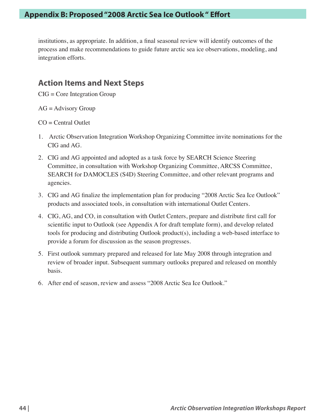institutions, as appropriate. In addition, a final seasonal review will identify outcomes of the process and make recommendations to guide future arctic sea ice observations, modeling, and integration efforts.

### **Action Items and Next Steps**

CIG = Core Integration Group

 $AG =$  Advisory Group

 $CO = Central$  Outlet

- 1. Arctic Observation Integration Workshop Organizing Committee invite nominations for the CIG and AG.
- 2. CIG and AG appointed and adopted as a task force by SEARCH Science Steering Committee, in consultation with Workshop Organizing Committee, ARCSS Committee, SEARCH for DAMOCLES (S4D) Steering Committee, and other relevant programs and agencies.
- 3. CIG and AG finalize the implementation plan for producing "2008 Arctic Sea Ice Outlook" products and associated tools, in consultation with international Outlet Centers.
- 4. CIG, AG, and CO, in consultation with Outlet Centers, prepare and distribute first call for scientific input to Outlook (see Appendix A for draft template form), and develop related tools for producing and distributing Outlook product(s), including a web-based interface to provide a forum for discussion as the season progresses.
- 5. First outlook summary prepared and released for late May 2008 through integration and review of broader input. Subsequent summary outlooks prepared and released on monthly basis.
- 6. After end of season, review and assess "2008 Arctic Sea Ice Outlook."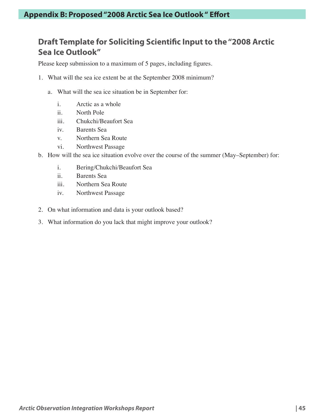### **Draft Template for Soliciting Scientific Input to the "2008 Arctic Sea Ice Outlook"**

Please keep submission to a maximum of 5 pages, including figures.

- 1. What will the sea ice extent be at the September 2008 minimum?
	- a. What will the sea ice situation be in September for:
		- i. Arctic as a whole
		- ii. North Pole
		- iii. Chukchi/Beaufort Sea
		- iv. Barents Sea
		- v. Northern Sea Route
		- vi. Northwest Passage
- b. How will the sea ice situation evolve over the course of the summer (May–September) for:
	- i. Bering/Chukchi/Beaufort Sea
	- ii. Barents Sea
	- iii. Northern Sea Route
	- iv. Northwest Passage
- 2. On what information and data is your outlook based?
- 3. What information do you lack that might improve your outlook?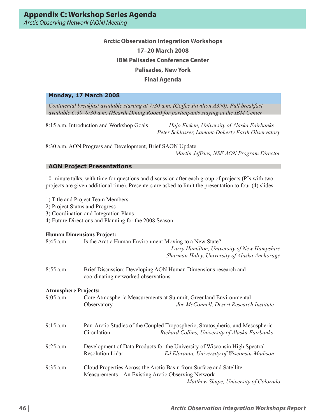### **Arctic Observation Integration Workshops 17–20 March 2008 IBM Palisades Conference Center Palisades, New York Final Agenda**

#### **Monday, 17 March 2008**

*Continental breakfast available starting at 7:30 a.m. (Coffee Pavilion A390). Full breakfast available 6:30–8:30 a.m. (Hearth Dining Room) for participants staying at the IBM Center.* 

8:15 a.m. Introduction and Workshop Goals *Hajo Eicken, University of Alaska Fairbanks Peter Schlosser, Lamont-Doherty Earth Observatory* 

8:30 a.m. AON Progress and Development, Brief SAON Update

*Martin Jeffries, NSF AON Program Director* 

#### **AON Project Presentations**

10-minute talks, with time for questions and discussion after each group of projects (PIs with two projects are given additional time). Presenters are asked to limit the presentation to four (4) slides:

- 1) Title and Project Team Members
- 2) Project Status and Progress
- 3) Coordination and Integration Plans
- 4) Future Directions and Planning for the 2008 Season

#### **Human Dimensions Project:**

- 8:45 a.m. Is the Arctic Human Environment Moving to a New State?  *Larry Hamilton, University of New Hampshire Sharman Haley, University of Alaska Anchorage*  8:55 a.m. Brief Discussion: Developing AON Human Dimensions research and coordinating networked observations **Atmosphere Projects:**  9:05 a.m. Core Atmospheric Measurements at Summit, Greenland Environmental Observatory *Joe McConnell, Desert Research Institute* 9:15 a.m. Pan-Arctic Studies of the Coupled Tropospheric, Stratospheric, and Mesospheric Circulation *Richard Collins, University of Alaska Fairbanks* 9:25 a.m. Development of Data Products for the University of Wisconsin High Spectral Resolution Lidar *Ed Eloranta, University of Wisconsin-Madison*
- 9:35 a.m. Cloud Properties Across the Arctic Basin from Surface and Satellite Measurements – An Existing Arctic Observing Network *Matthew Shupe, University of Colorado*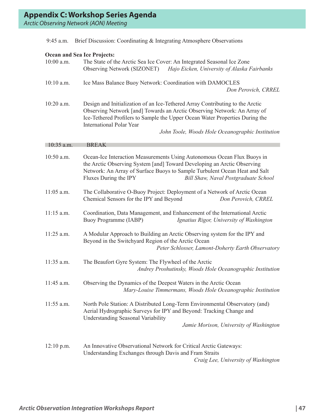|  |  |  | 9:45 a.m. Brief Discussion: Coordinating & Integrating Atmosphere Observations |  |
|--|--|--|--------------------------------------------------------------------------------|--|
|--|--|--|--------------------------------------------------------------------------------|--|

### **Ocean and Sea Ice Projects:**

| 10:00 a.m.   | The State of the Arctic Sea Ice Cover: An Integrated Seasonal Ice Zone<br><b>Observing Network (SIZONET)</b><br>Hajo Eicken, University of Alaska Fairbanks                                                                                                                                                                      |
|--------------|----------------------------------------------------------------------------------------------------------------------------------------------------------------------------------------------------------------------------------------------------------------------------------------------------------------------------------|
| 10:10 a.m.   | Ice Mass Balance Buoy Network: Coordination with DAMOCLES<br>Don Perovich, CRREL                                                                                                                                                                                                                                                 |
| 10:20 a.m.   | Design and Initialization of an Ice-Tethered Array Contributing to the Arctic<br>Observing Network [and] Towards an Arctic Observing Network: An Array of<br>Ice-Tethered Profilers to Sample the Upper Ocean Water Properties During the<br><b>International Polar Year</b><br>John Toole, Woods Hole Oceanographic Institution |
| $10:35$ a.m. | <b>BREAK</b>                                                                                                                                                                                                                                                                                                                     |
| 10:50 a.m.   | Ocean-Ice Interaction Measurements Using Autonomous Ocean Flux Buoys in<br>the Arctic Observing System [and] Toward Developing an Arctic Observing<br>Network: An Array of Surface Buoys to Sample Turbulent Ocean Heat and Salt<br>Fluxes During the IPY<br>Bill Shaw, Naval Postgraduate School                                |
| $11:05$ a.m. | The Collaborative O-Buoy Project: Deployment of a Network of Arctic Ocean<br>Chemical Sensors for the IPY and Beyond<br>Don Perovich, CRREL                                                                                                                                                                                      |
| $11:15$ a.m. | Coordination, Data Management, and Enhancement of the International Arctic<br>Buoy Programme (IABP)<br>Ignatius Rigor, University of Washington                                                                                                                                                                                  |
| 11:25 a.m.   | A Modular Approach to Building an Arctic Observing system for the IPY and<br>Beyond in the Switchyard Region of the Arctic Ocean<br>Peter Schlosser, Lamont-Doherty Earth Observatory                                                                                                                                            |
| 11:35 a.m.   | The Beaufort Gyre System: The Flywheel of the Arctic<br>Andrey Proshutinsky, Woods Hole Oceanographic Institution                                                                                                                                                                                                                |
| 11:45 a.m.   | Observing the Dynamics of the Deepest Waters in the Arctic Ocean<br>Mary-Louise Timmermans, Woods Hole Oceanographic Institution                                                                                                                                                                                                 |
| $11:55$ a.m. | North Pole Station: A Distributed Long-Term Environmental Observatory (and)<br>Aerial Hydrographic Surveys for IPY and Beyond: Tracking Change and<br>Understanding Seasonal Variability<br>Jamie Morison, University of Washington                                                                                              |
| $12:10$ p.m. | An Innovative Observational Network for Critical Arctic Gateways:<br>Understanding Exchanges through Davis and Fram Straits<br>Craig Lee, University of Washington                                                                                                                                                               |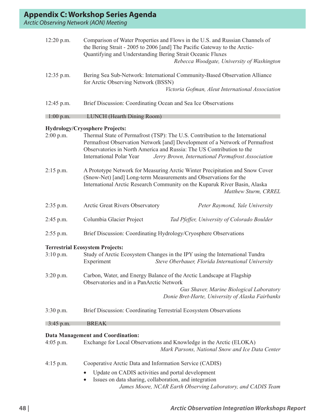| 12:20 p.m.  | Comparison of Water Properties and Flows in the U.S. and Russian Channels of<br>the Bering Strait - 2005 to 2006 [and] The Pacific Gateway to the Arctic-<br>Quantifying and Understanding Bering Strait Oceanic Fluxes<br>Rebecca Woodgate, University of Washington                                                                                           |
|-------------|-----------------------------------------------------------------------------------------------------------------------------------------------------------------------------------------------------------------------------------------------------------------------------------------------------------------------------------------------------------------|
| 12:35 p.m.  | Bering Sea Sub-Network: International Community-Based Observation Alliance<br>for Arctic Observing Network (BSSN)<br>Victoria Gofman, Aleut International Association                                                                                                                                                                                           |
| 12:45 p.m.  | Brief Discussion: Coordinating Ocean and Sea Ice Observations                                                                                                                                                                                                                                                                                                   |
| $1:00$ p.m. | <b>LUNCH</b> (Hearth Dining Room)                                                                                                                                                                                                                                                                                                                               |
| $2:00$ p.m. | <b>Hydrology/Cryosphere Projects:</b><br>Thermal State of Permafrost (TSP): The U.S. Contribution to the International<br>Permafrost Observation Network [and] Development of a Network of Permafrost<br>Observatories in North America and Russia: The US Contribution to the<br>International Polar Year<br>Jerry Brown, International Permafrost Association |
| $2:15$ p.m. | A Prototype Network for Measuring Arctic Winter Precipitation and Snow Cover<br>(Snow-Net) [and] Long-term Measurements and Observations for the<br>International Arctic Research Community on the Kuparuk River Basin, Alaska<br>Matthew Sturm, CRREL                                                                                                          |
| $2:35$ p.m. | Arctic Great Rivers Observatory<br>Peter Raymond, Yale University                                                                                                                                                                                                                                                                                               |
| 2:45 p.m.   | Columbia Glacier Project<br>Tad Pfeffer, University of Colorado Boulder                                                                                                                                                                                                                                                                                         |
| $2:55$ p.m. | Brief Discussion: Coordinating Hydrology/Cryosphere Observations                                                                                                                                                                                                                                                                                                |
| $3:10$ p.m. | <b>Terrestrial Ecosystem Projects:</b><br>Study of Arctic Ecosystem Changes in the IPY using the International Tundra<br>Experiment<br>Steve Oberbauer, Florida International University                                                                                                                                                                        |
| 3:20 p.m.   | Carbon, Water, and Energy Balance of the Arctic Landscape at Flagship<br>Observatories and in a PanArctic Network<br>Gus Shaver, Marine Biological Laboratory<br>Donie Bret-Harte, University of Alaska Fairbanks                                                                                                                                               |
| $3:30$ p.m. | Brief Discussion: Coordinating Terrestrial Ecosystem Observations                                                                                                                                                                                                                                                                                               |
| $3:45$ p.m. | <b>BREAK</b>                                                                                                                                                                                                                                                                                                                                                    |
|             | <b>Data Management and Coordination:</b>                                                                                                                                                                                                                                                                                                                        |
| $4:05$ p.m. | Exchange for Local Observations and Knowledge in the Arctic (ELOKA)<br>Mark Parsons, National Snow and Ice Data Center                                                                                                                                                                                                                                          |
| $4:15$ p.m. | Cooperative Arctic Data and Information Service (CADIS)                                                                                                                                                                                                                                                                                                         |
|             | Update on CADIS activities and portal development<br>$\bullet$<br>Issues on data sharing, collaboration, and integration<br>James Moore, NCAR Earth Observing Laboratory, and CADIS Team                                                                                                                                                                        |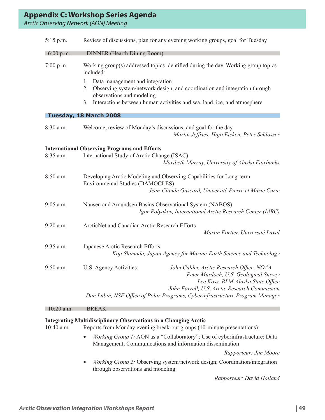| $5:15$ p.m.         | Review of discussions, plan for any evening working groups, goal for Tuesday                                                                                                                                                            |
|---------------------|-----------------------------------------------------------------------------------------------------------------------------------------------------------------------------------------------------------------------------------------|
| $6:00 \text{ p.m.}$ | <b>DINNER</b> (Hearth Dining Room)                                                                                                                                                                                                      |
| $7:00$ p.m.         | Working group(s) addressed topics identified during the day. Working group topics<br>included:                                                                                                                                          |
|                     | Data management and integration<br>1.<br>Observing system/network design, and coordination and integration through<br>2.<br>observations and modeling<br>Interactions between human activities and sea, land, ice, and atmosphere<br>3. |
|                     | Tuesday, 18 March 2008                                                                                                                                                                                                                  |
| 8:30 a.m.           | Welcome, review of Monday's discussions, and goal for the day<br>Martin Jeffries, Hajo Eicken, Peter Schlosser                                                                                                                          |
|                     | <b>International Observing Programs and Efforts</b>                                                                                                                                                                                     |
| 8:35 a.m.           | International Study of Arctic Change (ISAC)<br>Maribeth Murray, University of Alaska Fairbanks                                                                                                                                          |
| 8:50 a.m.           | Developing Arctic Modeling and Observing Capabilities for Long-term<br><b>Environmental Studies (DAMOCLES)</b><br>Jean-Claude Gascard, Université Pierre et Marie Curie                                                                 |
| $9:05$ a.m.         | Nansen and Amundsen Basins Observational System (NABOS)<br>Igor Polyakov, International Arctic Research Center (IARC)                                                                                                                   |
| $9:20$ a.m.         | ArcticNet and Canadian Arctic Research Efforts<br>Martin Fortier, Université Laval                                                                                                                                                      |
| 9:35 a.m.           | Japanese Arctic Research Efforts<br>Koji Shimada, Japan Agency for Marine-Earth Science and Technology                                                                                                                                  |
| 9:50 a.m.           | U.S. Agency Activities:<br>John Calder, Arctic Research Office, NOAA<br>Peter Murdoch, U.S. Geological Survey<br>Lee Koss, BLM-Alaska State Office<br>John Farrell, U.S. Arctic Research Commission                                     |
|                     | Dan Lubin, NSF Office of Polar Programs, Cyberinfrastructure Program Manager                                                                                                                                                            |
| $10:20$ a.m.        | <b>BREAK</b>                                                                                                                                                                                                                            |

#### **Integrating Multidisciplinary Observations in a Changing Arctic**

10:40 a.m. Reports from Monday evening break-out groups (10-minute presentations):

• *Working Group 1:* AON as a "Collaboratory"; Use of cyberinfrastructure; Data Management; Communications and information dissemination

*Rapporteur: Jim Moore*

• *Working Group 2:* Observing system/network design; Coordination/integration through observations and modeling

*Rapporteur: David Holland*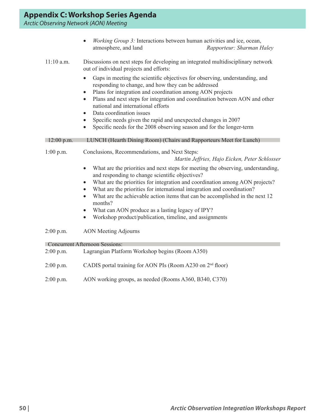|              | Working Group 3: Interactions between human activities and ice, ocean,<br>$\bullet$<br>atmosphere, and land<br>Rapporteur: Sharman Haley                                                    |
|--------------|---------------------------------------------------------------------------------------------------------------------------------------------------------------------------------------------|
| $11:10$ a.m. | Discussions on next steps for developing an integrated multidisciplinary network<br>out of individual projects and efforts:                                                                 |
|              | Gaps in meeting the scientific objectives for observing, understanding, and<br>responding to change, and how they can be addressed                                                          |
|              | Plans for integration and coordination among AON projects<br>Plans and next steps for integration and coordination between AON and other<br>$\bullet$<br>national and international efforts |
|              | Data coordination issues<br>$\bullet$                                                                                                                                                       |
|              | Specific needs given the rapid and unexpected changes in 2007                                                                                                                               |
|              | Specific needs for the 2008 observing season and for the longer-term                                                                                                                        |
| $12:00$ p.m. | LUNCH (Hearth Dining Room) (Chairs and Rapporteurs Meet for Lunch)                                                                                                                          |
| $1:00$ p.m.  | Conclusions, Recommendations, and Next Steps:                                                                                                                                               |
|              | Martin Jeffries, Hajo Eicken, Peter Schlosser                                                                                                                                               |
|              | What are the priorities and next steps for meeting the observing, understanding,<br>and responding to change scientific objectives?                                                         |
|              | What are the priorities for integration and coordination among AON projects?<br>$\bullet$                                                                                                   |
|              | What are the priorities for international integration and coordination?<br>$\bullet$                                                                                                        |
|              | What are the achievable action items that can be accomplished in the next 12<br>$\bullet$<br>months?                                                                                        |
|              | What can AON produce as a lasting legacy of IPY?<br>$\bullet$                                                                                                                               |
|              | Workshop product/publication, timeline, and assignments<br>$\bullet$                                                                                                                        |
| $2:00$ p.m.  | <b>AON</b> Meeting Adjourns                                                                                                                                                                 |
|              | <b>Concurrent Afternoon Sessions:</b>                                                                                                                                                       |

| $2:00$ p.m. | Lagrangian Platform Workshop begins (Room A350)              |
|-------------|--------------------------------------------------------------|
| $2:00$ p.m. | CADIS portal training for AON PIs (Room A230 on $2nd$ floor) |
| $2:00$ p.m. | AON working groups, as needed (Rooms A360, B340, C370)       |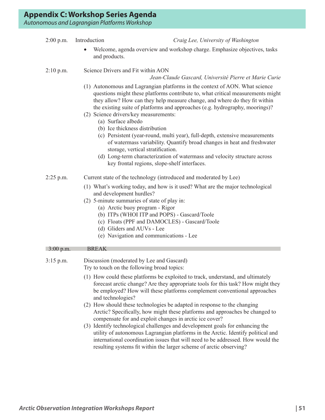#### 2:00 p.m. Introduction *Craig Lee, University of Washington*

Welcome, agenda overview and workshop charge. Emphasize objectives, tasks and products.

#### 2:10 p.m. Science Drivers and Fit within AON

#### *Jean-Claude Gascard, Université Pierre et Marie Curie*

- (1) Autonomous and Lagrangian platforms in the context of AON. What science questions might these platforms contribute to, what critical measurements might they allow? How can they help measure change, and where do they fit within the existing suite of platforms and approaches (e.g. hydrography, moorings)?
- (2) Science drivers/key measurements:
	- (a) Surface albedo
	- (b) Ice thickness distribution
	- (c) Persistent (year-round, multi year), full-depth, extensive measurements of watermass variability. Quantify broad changes in heat and freshwater storage, vertical stratification.
	- (d) Long-term characterization of watermass and velocity structure across key frontal regions, slope-shelf interfaces.
- 2:25 p.m. Current state of the technology (introduced and moderated by Lee)
	- (1) What's working today, and how is it used? What are the major technological and development hurdles?
	- (2) 5-minute summaries of state of play in:
		- (a) Arctic buoy program Rigor
		- (b) ITPs (WHOI ITP and POPS) Gascard/Toole
		- (c) Floats (PPF and DAMOCLES) Gascard/Toole
		- (d) Gliders and AUVs Lee
		- (e) Navigation and communications Lee

#### 3:00 p.m. BREAK

3:15 p.m. Discussion (moderated by Lee and Gascard) Try to touch on the following broad topics:

- (1) How could these platforms be exploited to track, understand, and ultimately forecast arctic change? Are they appropriate tools for this task? How might they be employed? How will these platforms complement conventional approaches and technologies?
- (2) How should these technologies be adapted in response to the changing Arctic? Specifically, how might these platforms and approaches be changed to compensate for and exploit changes in arctic ice cover?
- (3) Identify technological challenges and development goals for enhancing the utility of autonomous Lagrangian platforms in the Arctic. Identify political and international coordination issues that will need to be addressed. How would the resulting systems fit within the larger scheme of arctic observing?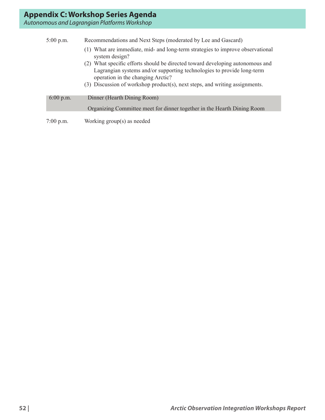| $5:00$ p.m. | Recommendations and Next Steps (moderated by Lee and Gascard)                                                                                                                                                                                                               |
|-------------|-----------------------------------------------------------------------------------------------------------------------------------------------------------------------------------------------------------------------------------------------------------------------------|
|             | (1) What are immediate, mid- and long-term strategies to improve observational<br>system design?                                                                                                                                                                            |
|             | (2) What specific efforts should be directed toward developing autonomous and<br>Lagrangian systems and/or supporting technologies to provide long-term<br>operation in the changing Arctic?<br>(3) Discussion of workshop product(s), next steps, and writing assignments. |
| 6:00 p.m.   | Dinner (Hearth Dining Room)                                                                                                                                                                                                                                                 |
|             | Organizing Committee meet for dinner together in the Hearth Dining Room                                                                                                                                                                                                     |
| $7:00$ p.m. | Working $group(s)$ as needed                                                                                                                                                                                                                                                |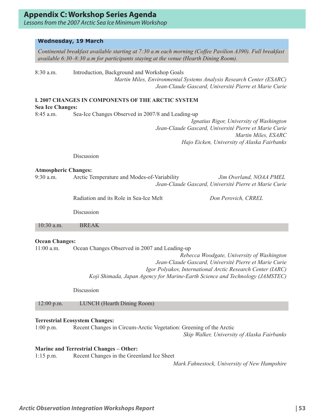*Lessons from the 2007 Arctic Sea Ice Minimum Workshop*

#### **Wednesday, 19 March**

*Continental breakfast available starting at 7:30 a.m each morning (Coffee Pavilion A390). Full breakfast available 6:30–8:30 a.m for participants staying at the venue (Hearth Dining Room).* 8:30 a.m. Introduction, Background and Workshop Goals *Martin Miles, Environmental Systems Analysis Research Center (ESARC) Jean-Claude Gascard, Université Pierre et Marie Curie* **I. 2007 CHANGES IN COMPONENTS OF THE ARCTIC SYSTEM** 

**Sea Ice Changes:** 

8:45 a.m. Sea-Ice Changes Observed in 2007/8 and Leading-up

 *Ignatius Rigor, University of Washington Jean-Claude Gascard, Université Pierre et Marie Curie Martin Miles, ESARC Hajo Eicken, University of Alaska Fairbanks* 

Discussion

#### **Atmospheric Changes:**

9:30 a.m. Arctic Temperature and Modes-of-Variability *Jim Overland, NOAA PMEL Jean-Claude Gascard, Université Pierre et Marie Curie* 

Radiation and its Role in Sea-Ice Melt *Don Perovich, CRREL* 

Discussion

10:30 a.m. BREAK

#### **Ocean Changes:**

11:00 a.m. Ocean Changes Observed in 2007 and Leading-up

*Rebecca Woodgate, University of Washington Jean-Claude Gascard, Université Pierre et Marie Curie Igor Polyakov, International Arctic Research Center (IARC) Koji Shimada, Japan Agency for Marine-Earth Science and Technology (JAMSTEC)* 

**Discussion** 

12:00 p.m. LUNCH (Hearth Dining Room)

### **Terrestrial Ecosystem Changes:**

1:00 p.m. Recent Changes in Circum-Arctic Vegetation: Greening of the Arctic *Skip Walker, University of Alaska Fairbanks* 

### **Marine and Terrestrial Changes – Other:**

1:15 p.m. Recent Changes in the Greenland Ice Sheet

*Mark Fahnestock, University of New Hampshire*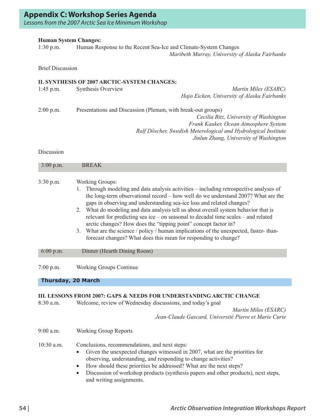*Lessons from the 2007 Arctic Sea Ice Minimum Workshop*

#### **Human System Changes:**

1:30 p.m. Human Response to the Recent Sea-Ice and Climate-System Changes  *Maribeth Murray, University of Alaska Fairbanks* 

Brief Discussion

#### **II. SYNTHESIS OF 2007 ARCTIC-SYSTEM CHANGES:**

| Synthesis Overview                                           | Martin Miles (ESARC)                                           |
|--------------------------------------------------------------|----------------------------------------------------------------|
|                                                              | Hajo Eicken, University of Alaska Fairbanks                    |
| Presentations and Discussion (Plenum, with break-out groups) |                                                                |
|                                                              | Cecilia Bitz, University of Washington                         |
|                                                              | Frank Kauker, Ocean Atmosphere System                          |
|                                                              | Ralf Döscher, Swedish Meterological and Hydrological Institute |
|                                                              | Jinlun Zhang, University of Washington                         |
|                                                              |                                                                |

Discussion

| 3:00 p.m.   | <b>BREAK</b>                                                                                                                                                                                                                                                                                                                                                                                                                                                                                                                                                                                                                                                                               |
|-------------|--------------------------------------------------------------------------------------------------------------------------------------------------------------------------------------------------------------------------------------------------------------------------------------------------------------------------------------------------------------------------------------------------------------------------------------------------------------------------------------------------------------------------------------------------------------------------------------------------------------------------------------------------------------------------------------------|
| $3:30$ p.m. | <b>Working Groups:</b><br>Through modeling and data analysis activities – including retrospective analyses of<br>the long-term observational record – how well do we understand 2007? What are the<br>gaps in observing and understanding sea-ice loss and related changes?<br>2. What do modeling and data analysis tell us about overall system behavior that is<br>relevant for predicting sea ice – on seasonal to decadal time scales – and related<br>arctic changes? How does the "tipping point" concept factor in?<br>What are the science / policy / human implications of the unexpected, faster-than-<br>3.<br>forecast changes? What does this mean for responding to change? |
| 6:00 p.m.   | Dinner (Hearth Dining Room)                                                                                                                                                                                                                                                                                                                                                                                                                                                                                                                                                                                                                                                                |
| $7:00$ p.m. | <b>Working Groups Continue</b>                                                                                                                                                                                                                                                                                                                                                                                                                                                                                                                                                                                                                                                             |
|             | <b>Thursday, 20 March</b>                                                                                                                                                                                                                                                                                                                                                                                                                                                                                                                                                                                                                                                                  |
|             | III. LESSONS FROM 2007: GAPS & NEEDS FOR UNDERSTANDING ARCTIC CHANGE                                                                                                                                                                                                                                                                                                                                                                                                                                                                                                                                                                                                                       |

8:30 a.m. Welcome, review of Wednesday discussions, and today's goal

 *Martin Miles (ESARC) Jean-Claude Gascard, Université Pierre et Marie Curie* 

9:00 a.m. Working Group Reports

10:30 a.m. Conclusions, recommendations, and next steps:

- Given the unexpected changes witnessed in 2007, what are the priorities for observing, understanding, and responding to change activities?
- How should these priorities be addressed? What are the next steps?
- Discussion of workshop products (synthesis papers and other products), next steps, and writing assignments.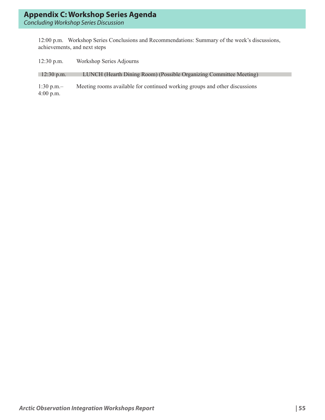12:00 p.m. Workshop Series Conclusions and Recommendations: Summary of the week's discussions, achievements, and next steps

| $12:30$ p.m.                                 | Workshop Series Adjourns                                                   |
|----------------------------------------------|----------------------------------------------------------------------------|
| $12:30$ p.m.                                 | LUNCH (Hearth Dining Room) (Possible Organizing Committee Meeting)         |
| $1:30 \text{ p.m.} -$<br>$4:00 \text{ p.m.}$ | Meeting rooms available for continued working groups and other discussions |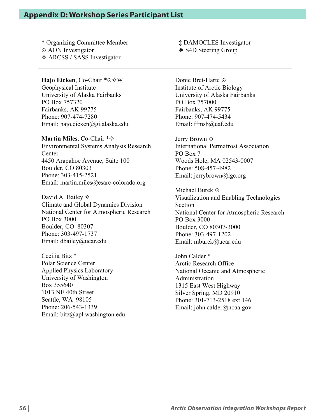### **Appendix D: Workshop Series Participant List**

\* Organizing Committee Member  $\odot$  AON Investigator **☆ ARCSS / SASS Investigator** 

**Hajo Eicken**, Co-Chair \*⊙  $\diamond$  W Geophysical Institute University of Alaska Fairbanks PO Box 757320 Fairbanks, AK 99775 Phone: 907-474-7280 Email: hajo.eicken@gi.alaska.edu

**Martin Miles**, Co-Chair  $*\diamond$ Environmental Systems Analysis Research **Center** 4450 Arapahoe Avenue, Suite 100 Boulder, CO 80303 Phone: 303-415-2521 Email: martin.miles@esarc-colorado.org

David A. Bailey  $\diamond$ Climate and Global Dynamics Division National Center for Atmospheric Research PO Box 3000 Boulder, CO 80307 Phone: 303-497-1737 Email: dbailey@ucar.edu

Cecilia Bitz \* Polar Science Center Applied Physics Laboratory University of Washington Box 355640 1013 NE 40th Street Seattle, WA 98105 Phone: 206-543-1339 Email: bitz@apl.washington.edu ‡ DAMOCLES Investigator \* S4D Steering Group

Donie Bret-Harte ! Institute of Arctic Biology University of Alaska Fairbanks PO Box 757000 Fairbanks, AK 99775 Phone: 907-474-5434 Email: ffmsb@uaf.edu

Jerry Brown  $\odot$ International Permafrost Association PO Box 7 Woods Hole, MA 02543-0007 Phone: 508-457-4982 Email: jerrybrown@igc.org

Michael Burek  $\odot$ Visualization and Enabling Technologies Section National Center for Atmospheric Research PO Box 3000 Boulder, CO 80307-3000 Phone: 303-497-1202 Email: mburek@ucar.edu

John Calder \* Arctic Research Office National Oceanic and Atmospheric Administration 1315 East West Highway Silver Spring, MD 20910 Phone: 301-713-2518 ext 146 Email: john.calder@noaa.gov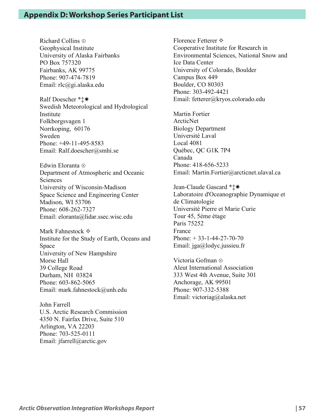Richard Collins ! Geophysical Institute University of Alaska Fairbanks PO Box 757320 Fairbanks, AK 99775 Phone: 907-474-7819 Email: rlc@gi.alaska.edu

Ralf Doescher \* $±*$ Swedish Meteorological and Hydrological Institute Folkborgsvagen 1 Norrkoping, 60176 Sweden Phone: +49-11-495-8583 Email: Ralf.doescher@smhi.se

Edwin Eloranta ! Department of Atmospheric and Oceanic Sciences University of Wisconsin-Madison Space Science and Engineering Center Madison, WI 53706 Phone: 608-262-7327 Email: eloranta@lidar.ssec.wisc.edu

Mark Fahnestock  $\Leftrightarrow$ Institute for the Study of Earth, Oceans and Space University of New Hampshire Morse Hall 39 College Road Durham, NH 03824 Phone: 603-862-5065 Email: mark.fahnestock@unh.edu

John Farrell U.S. Arctic Research Commission 4350 N. Fairfax Drive, Suite 510 Arlington, VA 22203 Phone: 703-525-0111 Email: jfarrell@arctic.gov

Florence Fetterer  $\diamondsuit$ Cooperative Institute for Research in Environmental Sciences, National Snow and Ice Data Center University of Colorado, Boulder Campus Box 449 Boulder, CO 80303 Phone: 303-492-4421 Email: fetterer@kryos.colorado.edu

Martin Fortier ArcticNet Biology Department Université Laval Local 4081 Québec, QC G1K 7P4 Canada Phone: 418-656-5233 Email: Martin.Fortier@arcticnet.ulaval.ca

Jean-Claude Gascard \* **±** \* Laboratoire d'Oceanographie Dynamique et de Climatologie Université Pierre et Marie Curie Tour 45, 5éme étage Paris 75252 France Phone:  $+ 33 - 1 - 44 - 27 - 70 - 70$ Email: jga@lodyc.jussieu.fr

Victoria Gofman ! Aleut International Association 333 West 4th Avenue, Suite 301 Anchorage, AK 99501 Phone: 907-332-5388 Email: victoriag@alaska.net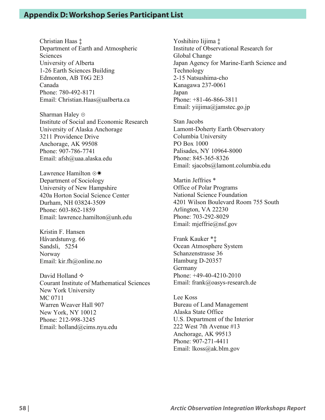Christian Haas ‡ Department of Earth and Atmospheric Sciences University of Alberta 1-26 Earth Sciences Building Edmonton, AB T6G 2E3 Canada Phone: 780-492-8171 Email: Christian.Haas@ualberta.ca

Sharman Haley  $\odot$ Institute of Social and Economic Research University of Alaska Anchorage 3211 Providence Drive Anchorage, AK 99508 Phone: 907-786-7741 Email: afsh@uaa.alaska.edu

Lawrence Hamilton  $\odot\ast$ Department of Sociology University of New Hampshire 420a Horton Social Science Center Durham, NH 03824-3509 Phone: 603-862-1859 Email: lawrence.hamilton@unh.edu

Kristin F. Hansen Håvardstunvg. 66 Sandsli, 5254 Norway Email: kir.fh@online.no

David Holland  $\Leftrightarrow$ Courant Institute of Mathematical Sciences New York University MC 0711 Warren Weaver Hall 907 New York, NY 10012 Phone: 212-998-3245 Email: holland@cims.nyu.edu

Yoshihiro Iijima ‡ Institute of Observational Research for Global Change Japan Agency for Marine-Earth Science and Technology 2-15 Natsushima-cho Kanagawa 237-0061 Japan Phone: +81-46-866-3811 Email: yiijima@jamstec.go.jp

Stan Jacobs Lamont-Doherty Earth Observatory Columbia University PO Box 1000 Palisades, NY 10964-8000 Phone: 845-365-8326 Email: sjacobs@lamont.columbia.edu

Martin Jeffries \* Office of Polar Programs National Science Foundation 4201 Wilson Boulevard Room 755 South Arlington, VA 22230 Phone: 703-292-8029 Email: mjeffrie@nsf.gov

Frank Kauker \*‡ Ocean Atmosphere System Schanzenstrasse 36 Hamburg D-20357 Germany Phone: +49-40-4210-2010 Email: frank@oasys-research.de

Lee Koss Bureau of Land Management Alaska State Office U.S. Department of the Interior 222 West 7th Avenue #13 Anchorage, AK 99513 Phone: 907-271-4411 Email: lkoss@ak.blm.gov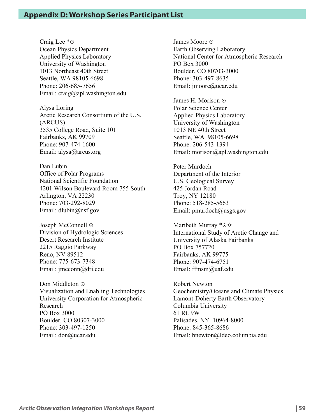Craig Lee  $* \odot$ Ocean Physics Department Applied Physics Laboratory University of Washington 1013 Northeast 40th Street Seattle, WA 98105-6698 Phone: 206-685-7656 Email: craig@apl.washington.edu

Alysa Loring Arctic Research Consortium of the U.S. (ARCUS) 3535 College Road, Suite 101 Fairbanks, AK 99709 Phone: 907-474-1600 Email: alysa@arcus.org

Dan Lubin Office of Polar Programs National Scientific Foundation 4201 Wilson Boulevard Room 755 South Arlington, VA 22230 Phone: 703-292-8029 Email: dlubin@nsf.gov

Joseph McConnell  $\odot$ Division of Hydrologic Sciences Desert Research Institute 2215 Raggio Parkway Reno, NV 89512 Phone: 775-673-7348 Email: jmcconn@dri.edu

Don Middleton  $\odot$ Visualization and Enabling Technologies University Corporation for Atmospheric Research PO Box 3000 Boulder, CO 80307-3000 Phone: 303-497-1250 Email: don@ucar.edu

James Moore  $\odot$ Earth Observing Laboratory National Center for Atmospheric Research PO Box 3000 Boulder, CO 80703-3000 Phone: 303-497-8635 Email: jmoore@ucar.edu

James H. Morison  $\odot$ Polar Science Center Applied Physics Laboratory University of Washington 1013 NE 40th Street Seattle, WA 98105-6698 Phone: 206-543-1394 Email: morison@apl.washington.edu

Peter Murdoch Department of the Interior U.S. Geological Survey 425 Jordan Road Troy, NY 12180 Phone: 518-285-5663 Email: pmurdoch@usgs.gov

Maribeth Murray  $* \odot \diamondsuit$ International Study of Arctic Change and University of Alaska Fairbanks PO Box 757720 Fairbanks, AK 99775 Phone: 907-474-6751 Email: ffmsm@uaf.edu

Robert Newton Geochemistry/Oceans and Climate Physics Lamont-Doherty Earth Observatory Columbia University 61 Rt. 9W Palisades, NY 10964-8000 Phone: 845-365-8686 Email: bnewton@ldeo.columbia.edu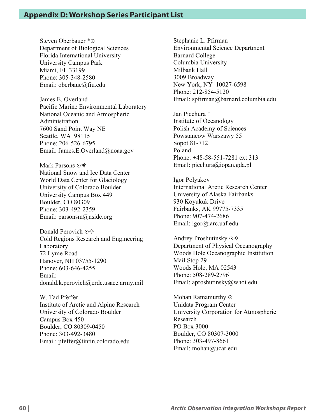Steven Oberbauer \* o Department of Biological Sciences Florida International University University Campus Park Miami, FL 33199 Phone: 305-348-2580 Email: oberbaue@fiu.edu

James E. Overland Pacific Marine Environmental Laboratory National Oceanic and Atmospheric Administration 7600 Sand Point Way NE Seattle, WA 98115 Phone: 206-526-6795 Email: James.E.Overland@noaa.gov

Mark Parsons  $\odot\ast$ National Snow and Ice Data Center World Data Center for Glaciology University of Colorado Boulder University Campus Box 449 Boulder, CO 80309 Phone: 303-492-2359 Email: parsonsm@nsidc.org

Donald Perovich  $\odot \diamondsuit$ Cold Regions Research and Engineering Laboratory 72 Lyme Road Hanover, NH 03755-1290 Phone: 603-646-4255 Email: donald.k.perovich@erdc.usace.army.mil

W. Tad Pfeffer Institute of Arctic and Alpine Research University of Colorado Boulder Campus Box 450 Boulder, CO 80309-0450 Phone: 303-492-3480 Email: pfeffer@tintin.colorado.edu

Stephanie L. Pfirman Environmental Science Department Barnard College Columbia University Milbank Hall 3009 Broadway New York, NY 10027-6598 Phone: 212-854-5120 Email: spfirman@barnard.columbia.edu

Jan Piechura ‡ Institute of Oceanology Polish Academy of Sciences Powstancow Warszawy 55 Sopot 81-712 Poland Phone: +48-58-551-7281 ext 313 Email: piechura@iopan.gda.pl

Igor Polyakov International Arctic Research Center University of Alaska Fairbanks 930 Koyukuk Drive Fairbanks, AK 99775-7335 Phone: 907-474-2686 Email: igor@iarc.uaf.edu

Andrey Proshutinsky  $\odot \diamondsuit$ Department of Physical Oceanography Woods Hole Oceanographic Institution Mail Stop 29 Woods Hole, MA 02543 Phone: 508-289-2796 Email: aproshutinsky@whoi.edu

Mohan Ramamurthy  $\odot$ Unidata Program Center University Corporation for Atmospheric Research PO Box 3000 Boulder, CO 80307-3000 Phone: 303-497-8661 Email: mohan@ucar.edu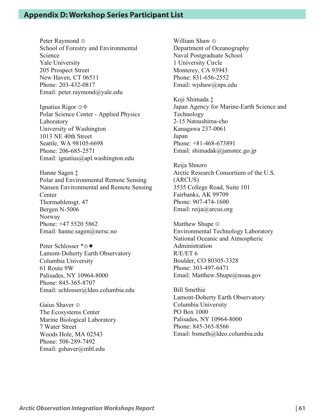Peter Raymond  $\odot$ School of Forestry and Environmental Science Yale University 205 Prospect Street New Haven, CT 06511 Phone: 203-432-0817 Email: peter.raymond@yale.edu

Ignatius Rigor  $\odot \diamondsuit$ Polar Science Center - Applied Physics Laboratory University of Washington 1013 NE 40th Street Seattle, WA 98105-6698 Phone: 206-685-2571 Email: ignatius@apl.washington.edu

Hanne Sagen ‡ Polar and Environmental Remote Sensing Nansen Environmental and Remote Sensing Center Thormøhlensgt. 47 Bergen N-5006 Norway Phone: +47 5520 5862 Email: hanne.sagen@nersc.no

Peter Schlosser \* o\* Lamont-Doherty Earth Observatory Columbia University 61 Route 9W Palisades, NY 10964-8000 Phone: 845-365-8707 Email: schlosser@ldeo.columbia.edu

Gaius Shaver  $\odot$ The Ecosystems Center Marine Biological Laboratory 7 Water Street Woods Hole, MA 02543 Phone: 508-289-7492 Email: gshaver@mbl.edu

William Shaw  $\odot$ Department of Oceanography Naval Postgraduate School 1 University Circle Monterey, CA 93943 Phone: 831-656-2552 Email: wjshaw@nps.edu

Koji Shimada ‡ Japan Agency for Marine-Earth Science and Technology 2-15 Natsushima-cho Kanagawa 237-0061 Japan Phone: +81-468-673891 Email: shimadak@jamstec.go.jp

Reija Shnoro Arctic Research Consortium of the U.S. (ARCUS) 3535 College Road, Suite 101 Fairbanks, AK 99709 Phone: 907-474-1600 Email: reija@arcus.org

Matthew Shupe  $\odot$ Environmental Technology Laboratory National Oceanic and Atmospheric Administration  $R/E/ET$  6 Boulder, CO 80305-3328 Phone: 303-497-6471 Email: Matthew.Shupe@noaa.gov

Bill Smethie Lamont-Doherty Earth Observatory Columbia University PO Box 1000 Palisades, NY 10964-8000 Phone: 845-365-8566 Email: bsmeth@ldeo.columbia.edu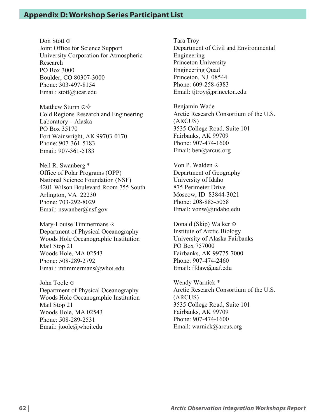Don Stott ⊙ Joint Office for Science Support University Corporation for Atmospheric Research PO Box 3000 Boulder, CO 80307-3000 Phone: 303-497-8154 Email: stott@ucar.edu

Matthew Sturm  $\odot \diamondsuit$ Cold Regions Research and Engineering Laboratory – Alaska PO Box 35170 Fort Wainwright, AK 99703-0170 Phone: 907-361-5183 Email: 907-361-5183

Neil R. Swanberg \* Office of Polar Programs (OPP) National Science Foundation (NSF) 4201 Wilson Boulevard Room 755 South Arlington, VA 22230 Phone: 703-292-8029 Email: nswanber@nsf.gov

Mary-Louise Timmermans  $\odot$ Department of Physical Oceanography Woods Hole Oceanographic Institution Mail Stop 21 Woods Hole, MA 02543 Phone: 508-289-2792 Email: mtimmermans@whoi.edu

John Toole  $\odot$ Department of Physical Oceanography Woods Hole Oceanographic Institution Mail Stop 21 Woods Hole, MA 02543 Phone: 508-289-2531 Email: jtoole@whoi.edu

Tara Troy Department of Civil and Environmental Engineering Princeton University Engineering Quad Princeton, NJ 08544 Phone: 609-258-6383 Email: tjtroy@princeton.edu

Benjamin Wade Arctic Research Consortium of the U.S. (ARCUS) 3535 College Road, Suite 101 Fairbanks, AK 99709 Phone: 907-474-1600 Email: ben@arcus.org

Von P. Walden  $\odot$ Department of Geography University of Idaho 875 Perimeter Drive Moscow, ID 83844-3021 Phone: 208-885-5058 Email: vonw@uidaho.edu

Donald (Skip) Walker  $\odot$ Institute of Arctic Biology University of Alaska Fairbanks PO Box 757000 Fairbanks, AK 99775-7000 Phone: 907-474-2460 Email: ffdaw@uaf.edu

Wendy Warnick \* Arctic Research Consortium of the U.S. (ARCUS) 3535 College Road, Suite 101 Fairbanks, AK 99709 Phone: 907-474-1600 Email: warnick@arcus.org